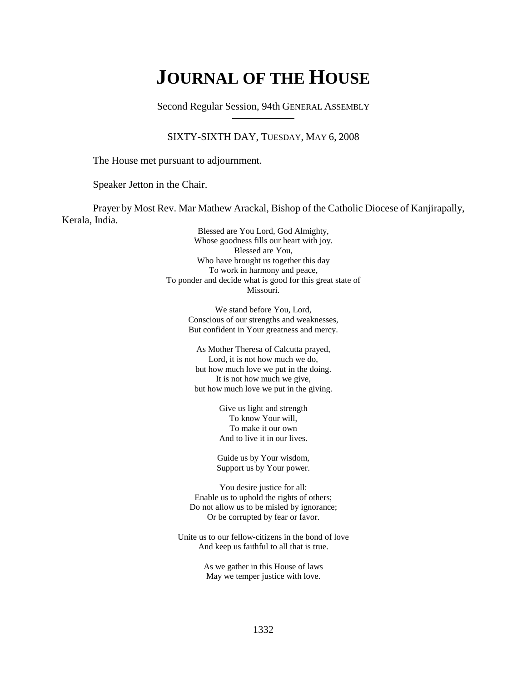# **JOURNAL OF THE HOUSE**

Second Regular Session, 94th GENERAL ASSEMBLY

#### SIXTY-SIXTH DAY, TUESDAY, MAY 6, 2008

The House met pursuant to adjournment.

Speaker Jetton in the Chair.

Prayer by Most Rev. Mar Mathew Arackal, Bishop of the Catholic Diocese of Kanjirapally, Kerala, India.

> Blessed are You Lord, God Almighty, Whose goodness fills our heart with joy. Blessed are You, Who have brought us together this day To work in harmony and peace, To ponder and decide what is good for this great state of Missouri.

> > We stand before You, Lord, Conscious of our strengths and weaknesses, But confident in Your greatness and mercy.

As Mother Theresa of Calcutta prayed, Lord, it is not how much we do, but how much love we put in the doing. It is not how much we give, but how much love we put in the giving.

> Give us light and strength To know Your will, To make it our own And to live it in our lives.

Guide us by Your wisdom, Support us by Your power.

You desire justice for all: Enable us to uphold the rights of others; Do not allow us to be misled by ignorance; Or be corrupted by fear or favor.

Unite us to our fellow-citizens in the bond of love And keep us faithful to all that is true.

> As we gather in this House of laws May we temper justice with love.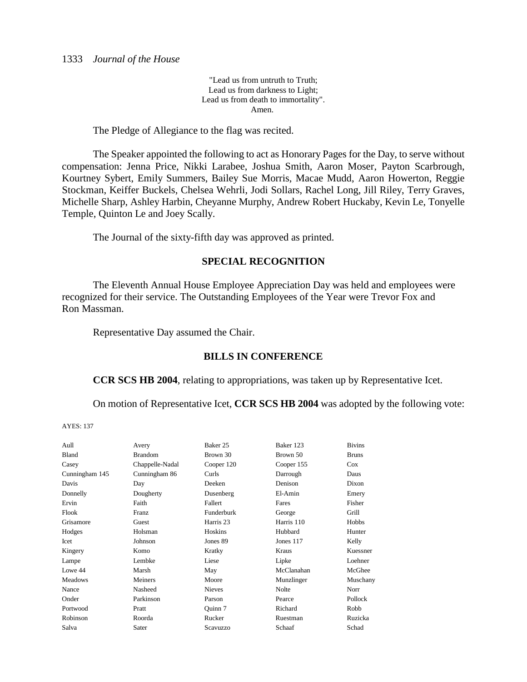"Lead us from untruth to Truth; Lead us from darkness to Light; Lead us from death to immortality". Amen.

The Pledge of Allegiance to the flag was recited.

The Speaker appointed the following to act as Honorary Pages for the Day, to serve without compensation: Jenna Price, Nikki Larabee, Joshua Smith, Aaron Moser, Payton Scarbrough, Kourtney Sybert, Emily Summers, Bailey Sue Morris, Macae Mudd, Aaron Howerton, Reggie Stockman, Keiffer Buckels, Chelsea Wehrli, Jodi Sollars, Rachel Long, Jill Riley, Terry Graves, Michelle Sharp, Ashley Harbin, Cheyanne Murphy, Andrew Robert Huckaby, Kevin Le, Tonyelle Temple, Quinton Le and Joey Scally.

The Journal of the sixty-fifth day was approved as printed.

## **SPECIAL RECOGNITION**

The Eleventh Annual House Employee Appreciation Day was held and employees were recognized for their service. The Outstanding Employees of the Year were Trevor Fox and Ron Massman.

Representative Day assumed the Chair.

## **BILLS IN CONFERENCE**

**CCR SCS HB 2004**, relating to appropriations, was taken up by Representative Icet.

On motion of Representative Icet, **CCR SCS HB 2004** was adopted by the following vote:

| Aull           | Avery           | Baker 25       | Baker 123    | <b>Bivins</b> |
|----------------|-----------------|----------------|--------------|---------------|
| Bland          | <b>Brandom</b>  | Brown 30       | Brown 50     | <b>Bruns</b>  |
| Casey          | Chappelle-Nadal | Cooper 120     | Cooper 155   | Cox           |
| Cunningham 145 | Cunningham 86   | Curls          | Darrough     | Daus          |
| Davis          | Day             | Deeken         | Denison      | Dixon         |
| Donnelly       | Dougherty       | Dusenberg      | El-Amin      | Emery         |
| Ervin          | Faith           | Fallert        | Fares        | Fisher        |
| Flook          | Franz           | Funderburk     | George       | Grill         |
| Grisamore      | Guest           | Harris 23      | Harris 110   | Hobbs         |
| Hodges         | Holsman         | <b>Hoskins</b> | Hubbard      | Hunter        |
| Icet           | Johnson         | Jones 89       | Jones 117    | Kelly         |
| Kingery        | Komo            | Kratky         | Kraus        | Kuessner      |
| Lampe          | Lembke          | Liese          | Lipke        | Loehner       |
| Lowe 44        | Marsh           | May            | McClanahan   | McGhee        |
| Meadows        | Meiners         | Moore          | Munzlinger   | Muschany      |
| Nance          | Nasheed         | <b>Nieves</b>  | <b>Nolte</b> | Norr          |
| Onder          | Parkinson       | Parson         | Pearce       | Pollock       |
| Portwood       | Pratt           | Ouinn 7        | Richard      | Robb          |
| Robinson       | Roorda          | Rucker         | Ruestman     | Ruzicka       |
| Salva          | Sater           | Scavuzzo       | Schaaf       | Schad         |
|                |                 |                |              |               |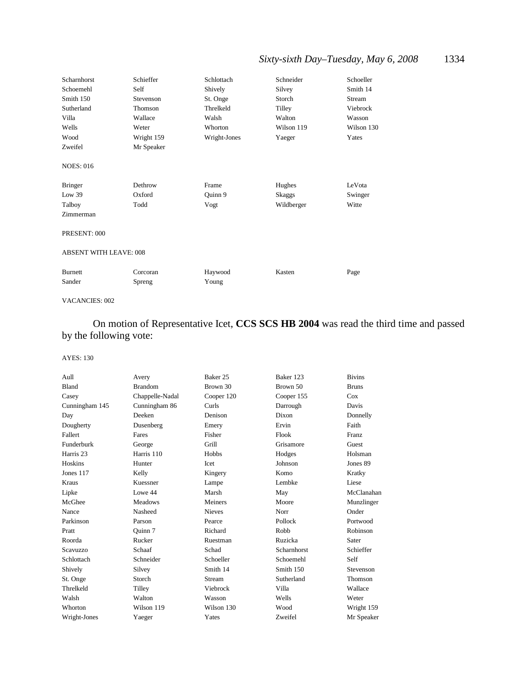# *Sixty-sixth Day–Tuesday, May 6, 2008* 1334

| Scharnhorst                   | Schieffer  | Schlottach   | Schneider  | Schoeller  |
|-------------------------------|------------|--------------|------------|------------|
| Schoemehl                     | Self       | Shively      | Silvey     | Smith 14   |
| Smith 150                     | Stevenson  | St. Onge     | Storch     | Stream     |
| Sutherland                    | Thomson    | Threlkeld    | Tilley     | Viebrock   |
| Villa                         | Wallace    | Walsh        | Walton     | Wasson     |
| Wells                         | Weter      | Whorton      | Wilson 119 | Wilson 130 |
| Wood                          | Wright 159 | Wright-Jones | Yaeger     | Yates      |
| Zweifel                       | Mr Speaker |              |            |            |
| <b>NOES: 016</b>              |            |              |            |            |
| <b>Bringer</b>                | Dethrow    | Frame        | Hughes     | LeVota     |
| Low 39                        | Oxford     | Quinn 9      | Skaggs     | Swinger    |
| Talboy                        | Todd       | Vogt         | Wildberger | Witte      |
| Zimmerman                     |            |              |            |            |
| PRESENT: 000                  |            |              |            |            |
| <b>ABSENT WITH LEAVE: 008</b> |            |              |            |            |
| <b>Burnett</b>                | Corcoran   | Haywood      | Kasten     | Page       |
| Sander                        | Spreng     | Young        |            |            |

#### VACANCIES: 002

# On motion of Representative Icet, **CCS SCS HB 2004** was read the third time and passed by the following vote:

| Aull           | Avery           | Baker 25      | Baker 123   | <b>Bivins</b>  |
|----------------|-----------------|---------------|-------------|----------------|
| Bland          | <b>Brandom</b>  | Brown 30      | Brown 50    | <b>Bruns</b>   |
| Casey          | Chappelle-Nadal | Cooper 120    | Cooper 155  | Cox            |
| Cunningham 145 | Cunningham 86   | Curls         | Darrough    | Davis          |
| Day            | Deeken          | Denison       | Dixon       | Donnelly       |
| Dougherty      | Dusenberg       | Emery         | Ervin       | Faith          |
| Fallert        | Fares           | Fisher        | Flook       | <b>Franz</b>   |
| Funderburk     | George          | Grill         | Grisamore   | Guest          |
| Harris 23      | Harris 110      | Hobbs         | Hodges      | Holsman        |
| Hoskins        | Hunter          | Icet          | Johnson     | Jones 89       |
| Jones 117      | Kelly           | Kingery       | Komo        | Kratky         |
| Kraus          | Kuessner        | Lampe         | Lembke      | Liese          |
| Lipke          | Lowe 44         | Marsh         | May         | McClanahan     |
| McGhee         | Meadows         | Meiners       | Moore       | Munzlinger     |
| Nance          | Nasheed         | <b>Nieves</b> | Norr        | Onder          |
| Parkinson      | Parson          | Pearce        | Pollock     | Portwood       |
| Pratt          | Ouinn 7         | Richard       | Robb        | Robinson       |
| Roorda         | Rucker          | Ruestman      | Ruzicka     | Sater          |
| Scavuzzo       | Schaaf          | Schad         | Scharnhorst | Schieffer      |
| Schlottach     | Schneider       | Schoeller     | Schoemehl   | Self           |
| Shively        | Silvey          | Smith 14      | Smith 150   | Stevenson      |
| St. Onge       | Storch          | Stream        | Sutherland  | <b>Thomson</b> |
| Threlkeld      | Tilley          | Viebrock      | Villa       | Wallace        |
| Walsh          | Walton          | Wasson        | Wells       | Weter          |
| Whorton        | Wilson 119      | Wilson 130    | Wood        | Wright 159     |
| Wright-Jones   | Yaeger          | Yates         | Zweifel     | Mr Speaker     |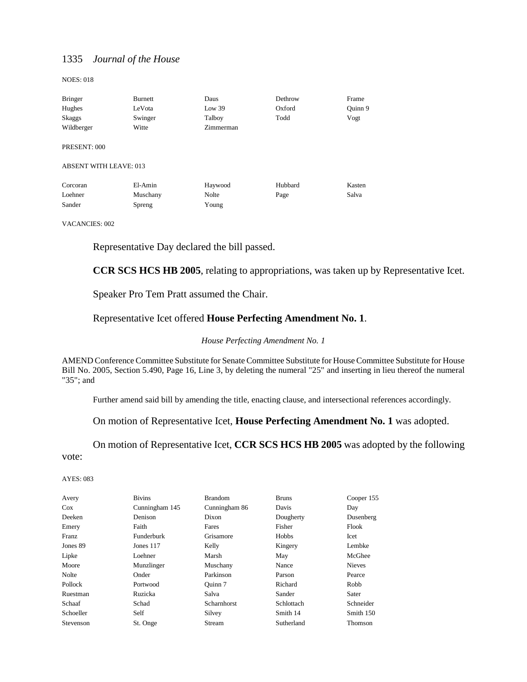NOES: 018

| <b>Bringer</b>                | Burnett  | Daus      | Dethrow | Frame   |
|-------------------------------|----------|-----------|---------|---------|
| Hughes                        | LeVota   | Low 39    | Oxford  | Ouinn 9 |
| Skaggs                        | Swinger  | Talboy    | Todd    | Vogt    |
| Wildberger                    | Witte    | Zimmerman |         |         |
| PRESENT: 000                  |          |           |         |         |
| <b>ABSENT WITH LEAVE: 013</b> |          |           |         |         |
| Corcoran                      | El-Amin  | Haywood   | Hubbard | Kasten  |
| Loehner                       | Muschany | Nolte     | Page    | Salva   |
| Sander                        | Spreng   | Young     |         |         |

VACANCIES: 002

Representative Day declared the bill passed.

**CCR SCS HCS HB 2005**, relating to appropriations, was taken up by Representative Icet.

Speaker Pro Tem Pratt assumed the Chair.

#### Representative Icet offered **House Perfecting Amendment No. 1**.

#### *House Perfecting Amendment No. 1*

AMEND Conference Committee Substitute for Senate Committee Substitute for House Committee Substitute for House Bill No. 2005, Section 5.490, Page 16, Line 3, by deleting the numeral "25" and inserting in lieu thereof the numeral "35"; and

Further amend said bill by amending the title, enacting clause, and intersectional references accordingly.

#### On motion of Representative Icet, **House Perfecting Amendment No. 1** was adopted.

On motion of Representative Icet, **CCR SCS HCS HB 2005** was adopted by the following vote:

| Avery     | <b>Bivins</b>     | <b>Brandom</b> | <b>Bruns</b> | Cooper 155    |
|-----------|-------------------|----------------|--------------|---------------|
| Cox       | Cunningham 145    | Cunningham 86  | Davis        | Day           |
| Deeken    | Denison           | Dixon          | Dougherty    | Dusenberg     |
| Emery     | Faith             | Fares          | Fisher       | Flook         |
| Franz     | <b>Funderburk</b> | Grisamore      | Hobbs        | Icet          |
| Jones 89  | Jones 117         | Kelly          | Kingery      | Lembke        |
| Lipke     | Loehner           | Marsh          | May          | McGhee        |
| Moore     | Munzlinger        | Muschany       | Nance        | <b>Nieves</b> |
| Nolte     | Onder             | Parkinson      | Parson       | Pearce        |
| Pollock   | Portwood          | Ouinn 7        | Richard      | Robb          |
| Ruestman  | Ruzicka           | Salva          | Sander       | Sater         |
| Schaaf    | Schad             | Scharnhorst    | Schlottach   | Schneider     |
| Schoeller | Self              | Silvey         | Smith 14     | Smith 150     |
| Stevenson | St. Onge          | Stream         | Sutherland   | Thomson       |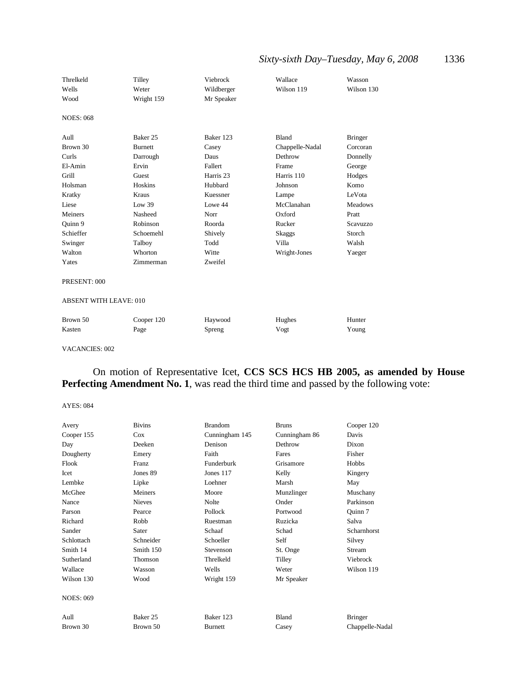# *Sixty-sixth Day–Tuesday, May 6, 2008* 1336

| Threlkeld        | Tilley         | Viebrock   | Wallace         | Wasson         |
|------------------|----------------|------------|-----------------|----------------|
| Wells            | Weter          | Wildberger | Wilson 119      | Wilson 130     |
| Wood             | Wright 159     | Mr Speaker |                 |                |
| <b>NOES: 068</b> |                |            |                 |                |
| Aull             | Baker 25       | Baker 123  | Bland           | <b>Bringer</b> |
| Brown 30         | <b>Burnett</b> | Casey      | Chappelle-Nadal | Corcoran       |
| Curls            | Darrough       | Daus       | Dethrow         | Donnelly       |
| El-Amin          | Ervin          | Fallert    | Frame           | George         |
| Grill            | Guest          | Harris 23  | Harris 110      | Hodges         |
| Holsman          | Hoskins        | Hubbard    | Johnson         | Komo           |
| Kratky           | Kraus          | Kuessner   | Lampe           | LeVota         |
| Liese            | Low 39         | Lowe 44    | McClanahan      | <b>Meadows</b> |
| Meiners          | Nasheed        | Norr       | Oxford          | Pratt          |
| Quinn 9          | Robinson       | Roorda     | Rucker          | Scavuzzo       |
| Schieffer        | Schoemehl      | Shively    | Skaggs          | Storch         |
| Swinger          | Talboy         | Todd       | Villa           | Walsh          |
| Walton           | Whorton        | Witte      | Wright-Jones    | Yaeger         |
| Yates            | Zimmerman      | Zweifel    |                 |                |
| PRESENT: 000     |                |            |                 |                |

#### ABSENT WITH LEAVE: 010

| Brown 50 | Cooper 120 | Haywood       | Hughes | Hunter |
|----------|------------|---------------|--------|--------|
| Kasten   | Page       | <b>Spreng</b> | Vogt   | Young  |

#### VACANCIES: 002

### On motion of Representative Icet, **CCS SCS HCS HB 2005, as amended by House** Perfecting Amendment No. 1, was read the third time and passed by the following vote:

| Avery            | <b>Bivins</b> | <b>Brandom</b> | <b>Bruns</b>  | Cooper 120      |
|------------------|---------------|----------------|---------------|-----------------|
| Cooper 155       | Cox           | Cunningham 145 | Cunningham 86 | Davis           |
| Day              | Deeken        | Denison        | Dethrow       | Dixon           |
| Dougherty        | Emery         | Faith          | Fares         | Fisher          |
| Flook            | Franz         | Funderburk     | Grisamore     | Hobbs           |
| Icet             | Jones 89      | Jones 117      | Kelly         | Kingery         |
| Lembke           | Lipke         | Loehner        | Marsh         | May             |
| McGhee           | Meiners       | Moore          | Munzlinger    | Muschany        |
| Nance            | <b>Nieves</b> | Nolte          | Onder         | Parkinson       |
| Parson           | Pearce        | Pollock        | Portwood      | Quinn 7         |
| Richard          | Robb          | Ruestman       | Ruzicka       | Salva           |
| Sander           | Sater         | Schaaf         | Schad         | Scharnhorst     |
| Schlottach       | Schneider     | Schoeller      | Self          | Silvey          |
| Smith 14         | Smith 150     | Stevenson      | St. Onge      | Stream          |
| Sutherland       | Thomson       | Threlkeld      | Tilley        | Viebrock        |
| Wallace          | Wasson        | Wells          | Weter         | Wilson 119      |
| Wilson 130       | Wood          | Wright 159     | Mr Speaker    |                 |
| <b>NOES: 069</b> |               |                |               |                 |
| Aull             | Baker 25      | Baker 123      | Bland         | <b>Bringer</b>  |
| Brown 30         | Brown 50      | <b>Burnett</b> | Casey         | Chappelle-Nadal |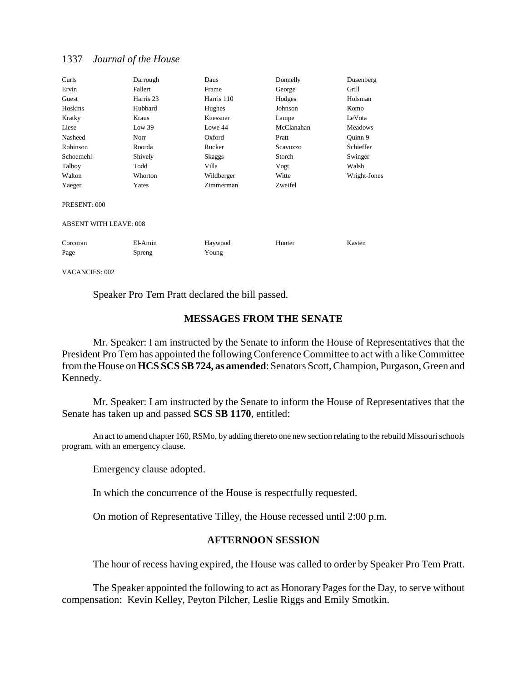| Curls                         | Darrough  | Daus       | Donnelly   | Dusenberg      |
|-------------------------------|-----------|------------|------------|----------------|
| Ervin                         | Fallert   | Frame      | George     | Grill          |
| Guest                         | Harris 23 | Harris 110 | Hodges     | Holsman        |
| Hoskins                       | Hubbard   | Hughes     | Johnson    | Komo           |
| Kratky                        | Kraus     | Kuessner   | Lampe      | LeVota         |
| Liese                         | Low 39    | Lowe 44    | McClanahan | <b>Meadows</b> |
| Nasheed                       | Norr      | Oxford     | Pratt      | Ouinn 9        |
| Robinson                      | Roorda    | Rucker     | Scavuzzo   | Schieffer      |
| Schoemehl                     | Shively   | Skaggs     | Storch     | Swinger        |
| Talboy                        | Todd      | Villa      | Vogt       | Walsh          |
| Walton                        | Whorton   | Wildberger | Witte      | Wright-Jones   |
| Yaeger                        | Yates     | Zimmerman  | Zweifel    |                |
| PRESENT: 000                  |           |            |            |                |
| <b>ABSENT WITH LEAVE: 008</b> |           |            |            |                |
| Corcoran                      | El-Amin   | Haywood    | Hunter     | Kasten         |
| Page                          | Spreng    | Young      |            |                |
|                               |           |            |            |                |

VACANCIES: 002

Speaker Pro Tem Pratt declared the bill passed.

## **MESSAGES FROM THE SENATE**

Mr. Speaker: I am instructed by the Senate to inform the House of Representatives that the President Pro Tem has appointed the following Conference Committee to act with a like Committee from the House on **HCS SCS SB 724, as amended**: Senators Scott, Champion, Purgason, Green and Kennedy.

Mr. Speaker: I am instructed by the Senate to inform the House of Representatives that the Senate has taken up and passed **SCS SB 1170**, entitled:

An act to amend chapter 160, RSMo, by adding thereto one new section relating to the rebuild Missouri schools program, with an emergency clause.

Emergency clause adopted.

In which the concurrence of the House is respectfully requested.

On motion of Representative Tilley, the House recessed until 2:00 p.m.

#### **AFTERNOON SESSION**

The hour of recess having expired, the House was called to order by Speaker Pro Tem Pratt.

The Speaker appointed the following to act as Honorary Pages for the Day, to serve without compensation: Kevin Kelley, Peyton Pilcher, Leslie Riggs and Emily Smotkin.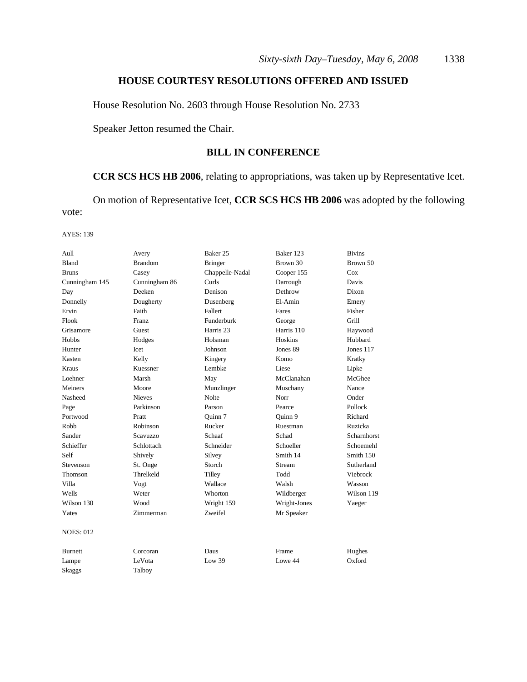## **HOUSE COURTESY RESOLUTIONS OFFERED AND ISSUED**

House Resolution No. 2603 through House Resolution No. 2733

Speaker Jetton resumed the Chair.

## **BILL IN CONFERENCE**

## **CCR SCS HCS HB 2006**, relating to appropriations, was taken up by Representative Icet.

On motion of Representative Icet, **CCR SCS HCS HB 2006** was adopted by the following vote:

| Aull             | Avery          | Baker <sub>25</sub>  | Baker 123    | <b>Bivins</b> |
|------------------|----------------|----------------------|--------------|---------------|
| Bland            | <b>Brandom</b> | <b>Bringer</b>       | Brown 30     | Brown 50      |
| <b>Bruns</b>     | Casey          | Chappelle-Nadal      | Cooper 155   | Cox           |
| Cunningham 145   | Cunningham 86  | Curls                | Darrough     | Davis         |
| Day              | Deeken         | Denison              | Dethrow      | Dixon         |
| Donnelly         | Dougherty      | Dusenberg            | El-Amin      | Emery         |
| Ervin            | Faith          | Fallert              | Fares        | Fisher        |
| Flook            | Franz          | Funderburk           | George       | Grill         |
| Grisamore        | Guest          | Harris <sub>23</sub> | Harris 110   | Haywood       |
| Hobbs            | Hodges         | Holsman              | Hoskins      | Hubbard       |
| Hunter           | Icet           | Johnson              | Jones 89     | Jones 117     |
| Kasten           | Kelly          | Kingery              | Komo         | Kratky        |
| <b>Kraus</b>     | Kuessner       | Lembke               | Liese        | Lipke         |
| Loehner          | Marsh          | May                  | McClanahan   | McGhee        |
| Meiners          | Moore          | Munzlinger           | Muschany     | Nance         |
| Nasheed          | <b>Nieves</b>  | Nolte                | Norr         | Onder         |
| Page             | Parkinson      | Parson               | Pearce       | Pollock       |
| Portwood         | Pratt          | Ouinn 7              | Ouinn 9      | Richard       |
| Robb             | Robinson       | Rucker               | Ruestman     | Ruzicka       |
| Sander           | Scavuzzo       | Schaaf               | Schad        | Scharnhorst   |
| Schieffer        | Schlottach     | Schneider            | Schoeller    | Schoemehl     |
| Self             | Shively        | Silvey               | Smith 14     | Smith 150     |
| Stevenson        | St. Onge       | Storch               | Stream       | Sutherland    |
| Thomson          | Threlkeld      | Tilley               | Todd         | Viebrock      |
| Villa            | Vogt           | Wallace              | Walsh        | Wasson        |
| Wells            | Weter          | Whorton              | Wildberger   | Wilson 119    |
| Wilson 130       | Wood           | Wright 159           | Wright-Jones | Yaeger        |
| Yates            | Zimmerman      | Zweifel              | Mr Speaker   |               |
| <b>NOES: 012</b> |                |                      |              |               |
| <b>Burnett</b>   | Corcoran       | Daus                 | Frame        | Hughes        |
| Lampe            | LeVota         | Low 39               | Lowe 44      | Oxford        |
| Skaggs           | Talboy         |                      |              |               |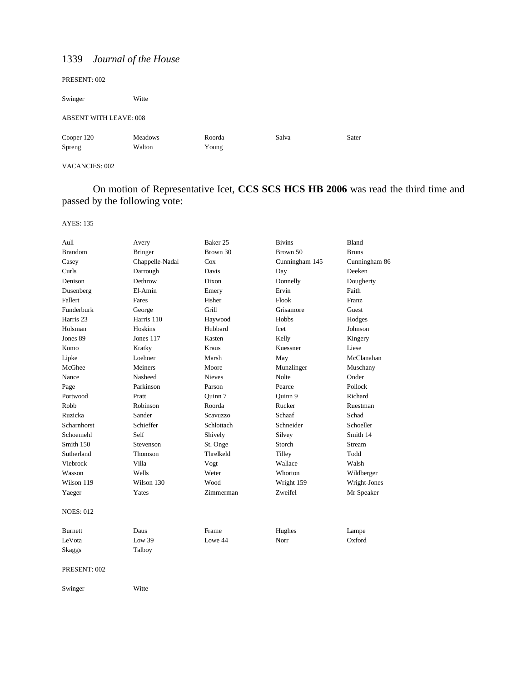| PRESENT: 002                  |         |        |       |       |  |
|-------------------------------|---------|--------|-------|-------|--|
| Swinger                       | Witte   |        |       |       |  |
| <b>ABSENT WITH LEAVE: 008</b> |         |        |       |       |  |
| Cooper 120                    | Meadows | Roorda | Salva | Sater |  |
| Spreng                        | Walton  | Young  |       |       |  |
|                               |         |        |       |       |  |

VACANCIES: 002

On motion of Representative Icet, **CCS SCS HCS HB 2006** was read the third time and passed by the following vote:

| Avery           | Baker 25      | <b>Bivins</b>  | Bland         |
|-----------------|---------------|----------------|---------------|
| <b>Bringer</b>  | Brown 30      | Brown 50       | <b>Bruns</b>  |
| Chappelle-Nadal | Cox           | Cunningham 145 | Cunningham 86 |
| Darrough        | Davis         | Day            | Deeken        |
| Dethrow         | Dixon         | Donnelly       | Dougherty     |
| El-Amin         | Emery         | Ervin          | Faith         |
| Fares           | Fisher        | Flook          | Franz         |
| George          | Grill         | Grisamore      | Guest         |
| Harris 110      | Haywood       | Hobbs          | Hodges        |
| Hoskins         | Hubbard       | Icet           | Johnson       |
| Jones 117       | Kasten        | Kelly          | Kingery       |
| Kratky          | Kraus         | Kuessner       | Liese         |
| Loehner         | Marsh         | May            | McClanahan    |
| Meiners         | Moore         | Munzlinger     | Muschany      |
| Nasheed         | <b>Nieves</b> | Nolte          | Onder         |
| Parkinson       | Parson        | Pearce         | Pollock       |
| Pratt           | Quinn 7       | Quinn 9        | Richard       |
| Robinson        | Roorda        | Rucker         | Ruestman      |
| Sander          | Scavuzzo      | Schaaf         | Schad         |
| Schieffer       | Schlottach    | Schneider      | Schoeller     |
| Self            | Shively       | Silvey         | Smith 14      |
| Stevenson       | St. Onge      | Storch         | Stream        |
| Thomson         | Threlkeld     | Tilley         | Todd          |
| Villa           | Vogt          | Wallace        | Walsh         |
| Wells           | Weter         | Whorton        | Wildberger    |
| Wilson 130      | Wood          | Wright 159     | Wright-Jones  |
| Yates           | Zimmerman     | Zweifel        | Mr Speaker    |
|                 |               |                |               |
| Daus            | Frame         | Hughes         | Lampe         |
| Low 39          | Lowe 44       | Norr           | Oxford        |
| Talboy          |               |                |               |
|                 |               |                |               |
| Witte           |               |                |               |
|                 |               |                |               |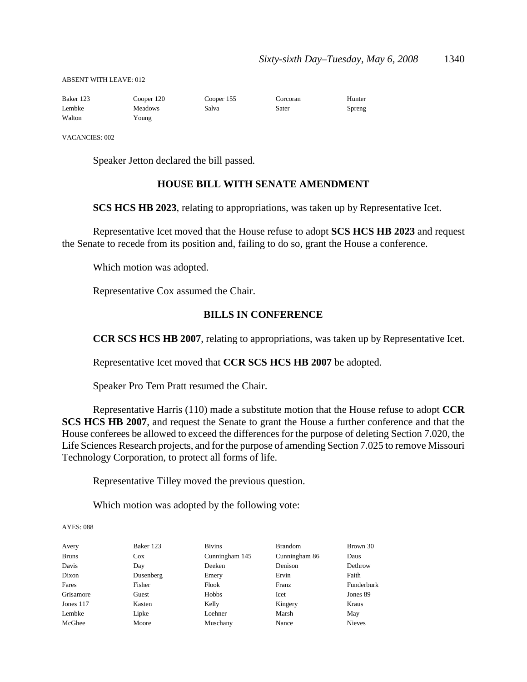ABSENT WITH LEAVE: 012

| Baker 123 | Cooper 120     | Cooper 155 | Corcoran | Hunter |
|-----------|----------------|------------|----------|--------|
| Lembke    | <b>Meadows</b> | Salva      | Sater    | Spreng |
| Walton    | Young          |            |          |        |

VACANCIES: 002

Speaker Jetton declared the bill passed.

## **HOUSE BILL WITH SENATE AMENDMENT**

**SCS HCS HB 2023**, relating to appropriations, was taken up by Representative Icet.

Representative Icet moved that the House refuse to adopt **SCS HCS HB 2023** and request the Senate to recede from its position and, failing to do so, grant the House a conference.

Which motion was adopted.

Representative Cox assumed the Chair.

## **BILLS IN CONFERENCE**

**CCR SCS HCS HB 2007**, relating to appropriations, was taken up by Representative Icet.

Representative Icet moved that **CCR SCS HCS HB 2007** be adopted.

Speaker Pro Tem Pratt resumed the Chair.

Representative Harris (110) made a substitute motion that the House refuse to adopt **CCR SCS HCS HB 2007**, and request the Senate to grant the House a further conference and that the House conferees be allowed to exceed the differences for the purpose of deleting Section 7.020, the Life Sciences Research projects, and for the purpose of amending Section 7.025 to remove Missouri Technology Corporation, to protect all forms of life.

Representative Tilley moved the previous question.

Which motion was adopted by the following vote:

| Avery        | Baker 123  | <b>Bivins</b>  | <b>Brandom</b> | Brown 30      |
|--------------|------------|----------------|----------------|---------------|
| <b>Bruns</b> | <b>Cox</b> | Cunningham 145 | Cunningham 86  | Daus          |
| Davis        | Day        | Deeken         | Denison        | Dethrow       |
| Dixon        | Dusenberg  | Emery          | Ervin          | Faith         |
| Fares        | Fisher     | Flook          | Franz          | Funderburk    |
| Grisamore    | Guest      | Hobbs          | Icet           | Jones 89      |
| Jones 117    | Kasten     | Kelly          | Kingery        | Kraus         |
| Lembke       | Lipke      | Loehner        | Marsh          | May           |
| McGhee       | Moore      | Muschany       | Nance          | <b>Nieves</b> |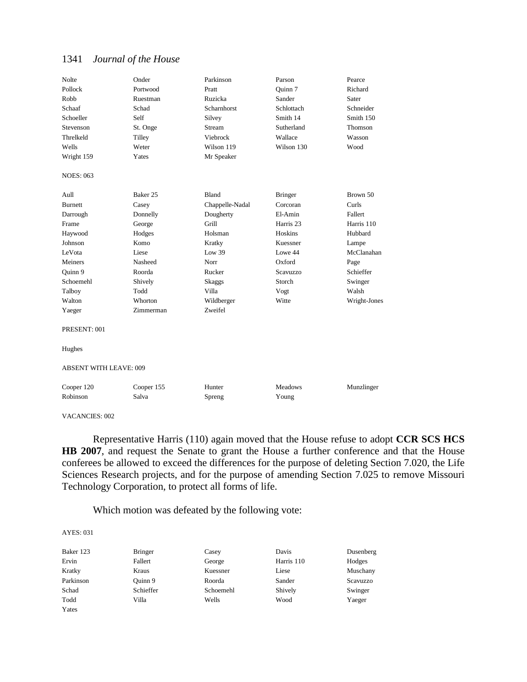| <b>Nolte</b>                  | Onder      | Parkinson       | Parson               | Pearce       |
|-------------------------------|------------|-----------------|----------------------|--------------|
| Pollock                       | Portwood   | Pratt           | Ouinn 7              | Richard      |
| Robb                          | Ruestman   | Ruzicka         | Sander               | Sater        |
| Schaaf                        | Schad      | Scharnhorst     | Schlottach           | Schneider    |
| Schoeller                     | Self       | Silvey          | Smith 14             | Smith 150    |
| Stevenson                     | St. Onge   | Stream          | Sutherland           | Thomson      |
| Threlkeld                     | Tilley     | Viebrock        | Wallace              | Wasson       |
| Wells                         | Weter      | Wilson 119      | Wilson 130           | Wood         |
| Wright 159                    | Yates      | Mr Speaker      |                      |              |
| <b>NOES: 063</b>              |            |                 |                      |              |
| Aull                          | Baker 25   | Bland           | <b>Bringer</b>       | Brown 50     |
| <b>Burnett</b>                | Casey      | Chappelle-Nadal | Corcoran             | Curls        |
| Darrough                      | Donnelly   | Dougherty       | El-Amin              | Fallert      |
| Frame                         | George     | Grill           | Harris <sub>23</sub> | Harris 110   |
| Haywood                       | Hodges     | Holsman         | Hoskins              | Hubbard      |
| Johnson                       | Komo       | Kratky          | Kuessner             | Lampe        |
| LeVota                        | Liese      | Low 39          | Lowe 44              | McClanahan   |
| Meiners                       | Nasheed    | Norr            | Oxford               | Page         |
| Ouinn 9                       | Roorda     | Rucker          | <b>Scavuzzo</b>      | Schieffer    |
| Schoemehl                     | Shively    | Skaggs          | Storch               | Swinger      |
| Talboy                        | Todd       | Villa           | Vogt                 | Walsh        |
| Walton                        | Whorton    | Wildberger      | Witte                | Wright-Jones |
| Yaeger                        | Zimmerman  | Zweifel         |                      |              |
| PRESENT: 001                  |            |                 |                      |              |
| Hughes                        |            |                 |                      |              |
| <b>ABSENT WITH LEAVE: 009</b> |            |                 |                      |              |
| Cooper 120                    | Cooper 155 | Hunter          | <b>Meadows</b>       | Munzlinger   |
| Robinson                      | Salva      | Spreng          | Young                |              |

VACANCIES: 002

Representative Harris (110) again moved that the House refuse to adopt **CCR SCS HCS HB 2007**, and request the Senate to grant the House a further conference and that the House conferees be allowed to exceed the differences for the purpose of deleting Section 7.020, the Life Sciences Research projects, and for the purpose of amending Section 7.025 to remove Missouri Technology Corporation, to protect all forms of life.

Which motion was defeated by the following vote:

| Baker 123 | <b>Bringer</b> | Casey     | Davis      | Dusenberg |
|-----------|----------------|-----------|------------|-----------|
| Ervin     | Fallert        | George    | Harris 110 | Hodges    |
| Kratky    | Kraus          | Kuessner  | Liese      | Muschany  |
| Parkinson | Ouinn 9        | Roorda    | Sander     | Scavuzzo  |
| Schad     | Schieffer      | Schoemehl | Shively    | Swinger   |
| Todd      | Villa          | Wells     | Wood       | Yaeger    |
| Yates     |                |           |            |           |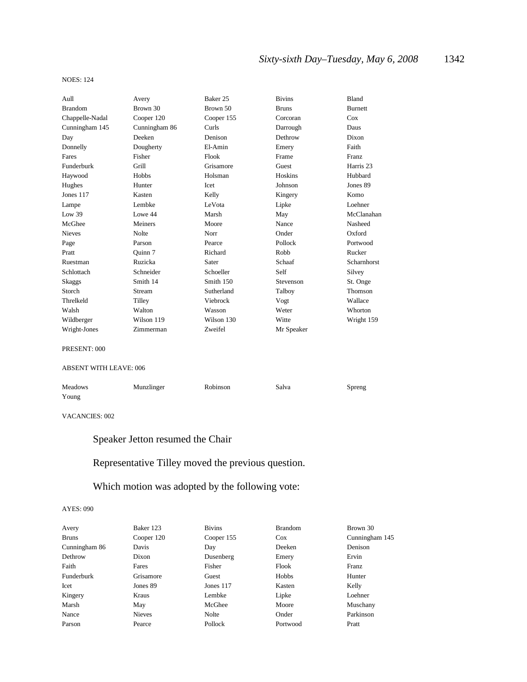# *Sixty-sixth Day–Tuesday, May 6, 2008* 1342

#### NOES: 124

| Aull            | Avery         | Baker 25   | <b>Bivins</b> | Bland                |
|-----------------|---------------|------------|---------------|----------------------|
| <b>Brandom</b>  | Brown 30      | Brown 50   | <b>Bruns</b>  | <b>Burnett</b>       |
| Chappelle-Nadal | Cooper 120    | Cooper 155 | Corcoran      | Cox                  |
| Cunningham 145  | Cunningham 86 | Curls      | Darrough      | Daus                 |
| Day             | Deeken        | Denison    | Dethrow       | Dixon                |
| Donnelly        | Dougherty     | El-Amin    | Emery         | Faith                |
| Fares           | Fisher        | Flook      | Frame         | Franz                |
| Funderburk      | Grill         | Grisamore  | Guest         | Harris <sub>23</sub> |
| Haywood         | Hobbs         | Holsman    | Hoskins       | Hubbard              |
| Hughes          | Hunter        | Icet       | Johnson       | Jones 89             |
| Jones 117       | Kasten        | Kelly      | Kingery       | Komo                 |
| Lampe           | Lembke        | LeVota     | Lipke         | Loehner              |
| Low $39$        | Lowe 44       | Marsh      | May           | McClanahan           |
| McGhee          | Meiners       | Moore      | Nance         | Nasheed              |
| Nieves          | Nolte         | Norr       | Onder         | Oxford               |
| Page            | Parson        | Pearce     | Pollock       | Portwood             |
| Pratt           | Ouinn 7       | Richard    | Robb          | Rucker               |
| Ruestman        | Ruzicka       | Sater      | Schaaf        | Scharnhorst          |
| Schlottach      | Schneider     | Schoeller  | Self          | Silvey               |
| Skaggs          | Smith 14      | Smith 150  | Stevenson     | St. Onge             |
| Storch          | Stream        | Sutherland | Talboy        | Thomson              |
| Threlkeld       | Tilley        | Viebrock   | Vogt          | Wallace              |
| Walsh           | Walton        | Wasson     | Weter         | Whorton              |
| Wildberger      | Wilson 119    | Wilson 130 | Witte         | Wright 159           |
| Wright-Jones    | Zimmerman     | Zweifel    | Mr Speaker    |                      |
| PRESENT: 000    |               |            |               |                      |

#### ABSENT WITH LEAVE: 006

| <b>Meadows</b> | Munzlinger | Robinson | Salva | Spreng |
|----------------|------------|----------|-------|--------|
| Young          |            |          |       |        |

#### VACANCIES: 002

# Speaker Jetton resumed the Chair

# Representative Tilley moved the previous question.

# Which motion was adopted by the following vote:

| Avery         | Baker 123     | <b>Bivins</b> | <b>Brandom</b> | Brown 30       |
|---------------|---------------|---------------|----------------|----------------|
| <b>Bruns</b>  | Cooper 120    | Cooper 155    | $\cos$         | Cunningham 145 |
| Cunningham 86 | Davis         | Day           | Deeken         | Denison        |
| Dethrow       | Dixon         | Dusenberg     | Emery          | Ervin          |
| Faith         | Fares         | Fisher        | Flook          | Franz          |
| Funderburk    | Grisamore     | Guest         | Hobbs          | Hunter         |
| Icet          | Jones 89      | Jones 117     | Kasten         | Kelly          |
| Kingery       | Kraus         | Lembke        | Lipke          | Loehner        |
| Marsh         | May           | McGhee        | Moore          | Muschany       |
| Nance         | <b>Nieves</b> | Nolte         | Onder          | Parkinson      |
| Parson        | Pearce        | Pollock       | Portwood       | Pratt          |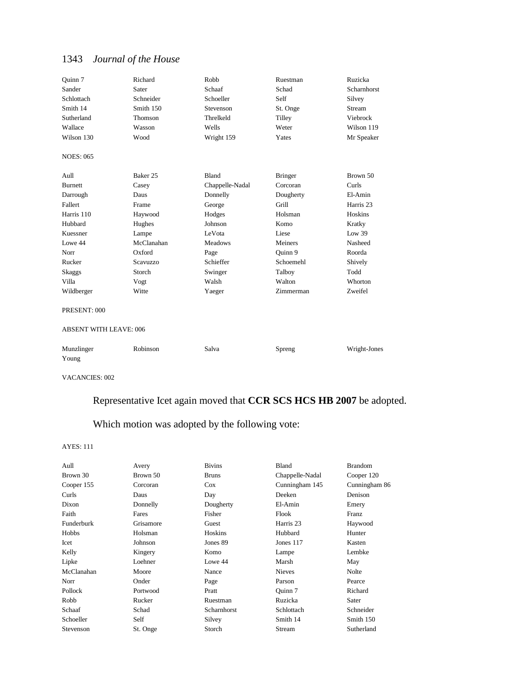| Ouinn 7                       | Richard    | Robb            | Ruestman       | Ruzicka      |
|-------------------------------|------------|-----------------|----------------|--------------|
| Sander                        | Sater      | Schaaf          | Schad          | Scharnhorst  |
| Schlottach                    | Schneider  | Schoeller       | Self           | Silvey       |
| Smith 14                      | Smith 150  | Stevenson       | St. Onge       | Stream       |
| Sutherland                    | Thomson    | Threlkeld       | Tilley         | Viebrock     |
| Wallace                       | Wasson     | Wells           | Weter          | Wilson 119   |
| Wilson 130                    | Wood       | Wright 159      | Yates          | Mr Speaker   |
| <b>NOES: 065</b>              |            |                 |                |              |
| Aull                          | Baker 25   | <b>Bland</b>    | <b>Bringer</b> | Brown 50     |
| <b>Burnett</b>                | Casey      | Chappelle-Nadal | Corcoran       | Curls        |
| Darrough                      | Daus       | Donnelly        | Dougherty      | El-Amin      |
| Fallert                       | Frame      | George          | Grill          | Harris 23    |
| Harris 110                    | Haywood    | Hodges          | Holsman        | Hoskins      |
| Hubbard                       | Hughes     | Johnson         | Komo           | Kratky       |
| Kuessner                      | Lampe      | LeVota          | Liese          | Low 39       |
| Lowe 44                       | McClanahan | <b>Meadows</b>  | Meiners        | Nasheed      |
| Norr                          | Oxford     | Page            | Ouinn 9        | Roorda       |
| Rucker                        | Scavuzzo   | Schieffer       | Schoemehl      | Shively      |
| Skaggs                        | Storch     | Swinger         | Talboy         | Todd         |
| Villa                         | Vogt       | Walsh           | Walton         | Whorton      |
| Wildberger                    | Witte      | Yaeger          | Zimmerman      | Zweifel      |
| PRESENT: 000                  |            |                 |                |              |
| <b>ABSENT WITH LEAVE: 006</b> |            |                 |                |              |
| Munzlinger<br>Young           | Robinson   | Salva           | Spreng         | Wright-Jones |

VACANCIES: 002

# Representative Icet again moved that **CCR SCS HCS HB 2007** be adopted.

# Which motion was adopted by the following vote:

| Aull       | Avery     | <b>Bivins</b> | Bland           | <b>Brandom</b> |
|------------|-----------|---------------|-----------------|----------------|
| Brown 30   | Brown 50  | <b>Bruns</b>  | Chappelle-Nadal | Cooper 120     |
| Cooper 155 | Corcoran  | $\cos$        | Cunningham 145  | Cunningham 86  |
| Curls      | Daus      | Day           | Deeken          | Denison        |
| Dixon      | Donnelly  | Dougherty     | El-Amin         | Emery          |
| Faith      | Fares     | Fisher        | Flook           | Franz          |
| Funderburk | Grisamore | Guest         | Harris 23       | Haywood        |
| Hobbs      | Holsman   | Hoskins       | Hubbard         | Hunter         |
| Icet       | Johnson   | Jones 89      | Jones 117       | Kasten         |
| Kelly      | Kingery   | Komo          | Lampe           | Lembke         |
| Lipke      | Loehner   | Lowe 44       | Marsh           | May            |
| McClanahan | Moore     | Nance         | <b>Nieves</b>   | Nolte          |
| Norr       | Onder     | Page          | Parson          | Pearce         |
| Pollock    | Portwood  | Pratt         | Ouinn 7         | Richard        |
| Robb       | Rucker    | Ruestman      | Ruzicka         | Sater          |
| Schaaf     | Schad     | Scharnhorst   | Schlottach      | Schneider      |
| Schoeller  | Self      | Silvey        | Smith 14        | Smith 150      |
| Stevenson  | St. Onge  | Storch        | Stream          | Sutherland     |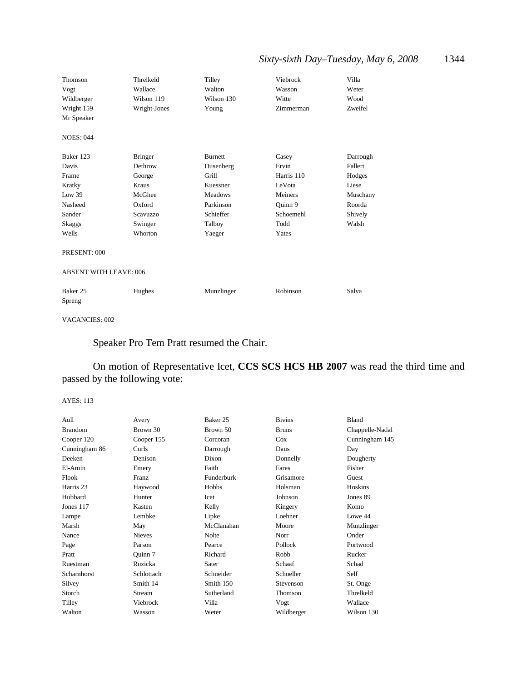# *Sixty-sixth Day–Tuesday, May 6, 2008* 1344

| Thomson                       | Threlkeld      | Tilley         | Viebrock   | Villa    |
|-------------------------------|----------------|----------------|------------|----------|
| Vogt                          | Wallace        | Walton         | Wasson     | Weter    |
| Wildberger                    | Wilson 119     | Wilson 130     | Witte      | Wood     |
| Wright 159                    | Wright-Jones   | Young          | Zimmerman  | Zweifel  |
| Mr Speaker                    |                |                |            |          |
| <b>NOES: 044</b>              |                |                |            |          |
| Baker 123                     | <b>Bringer</b> | Burnett        | Casey      | Darrough |
| Davis                         | Dethrow        | Dusenberg      | Ervin      | Fallert  |
| Frame                         | George         | Grill          | Harris 110 | Hodges   |
| Kratky                        | Kraus          | Kuessner       | LeVota     | Liese    |
| Low 39                        | McGhee         | <b>Meadows</b> | Meiners    | Muschany |
| Nasheed                       | Oxford         | Parkinson      | Quinn 9    | Roorda   |
| Sander                        | Scavuzzo       | Schieffer      | Schoemehl  | Shively  |
| Skaggs                        | Swinger        | Talboy         | Todd       | Walsh    |
| Wells                         | Whorton        | Yaeger         | Yates      |          |
| PRESENT: 000                  |                |                |            |          |
| <b>ABSENT WITH LEAVE: 006</b> |                |                |            |          |
| Baker 25<br>Spreng            | Hughes         | Munzlinger     | Robinson   | Salva    |

VACANCIES: 002

# Speaker Pro Tem Pratt resumed the Chair.

On motion of Representative Icet, **CCS SCS HCS HB 2007** was read the third time and passed by the following vote:

| Aull           | Avery         | Baker 25   | <b>Bivins</b> | Bland           |
|----------------|---------------|------------|---------------|-----------------|
| <b>Brandom</b> | Brown 30      | Brown 50   | <b>Bruns</b>  | Chappelle-Nadal |
| Cooper 120     | Cooper 155    | Corcoran   | Cox           | Cunningham 145  |
| Cunningham 86  | Curls         | Darrough   | Daus          | Day             |
| Deeken         | Denison       | Dixon      | Donnelly      | Dougherty       |
| El-Amin        | Emery         | Faith      | Fares         | Fisher          |
| Flook          | Franz         | Funderburk | Grisamore     | Guest           |
| Harris 23      | Haywood       | Hobbs      | Holsman       | Hoskins         |
| Hubbard        | Hunter        | Icet       | Johnson       | Jones 89        |
| Jones 117      | Kasten        | Kelly      | Kingery       | Komo            |
| Lampe          | Lembke        | Lipke      | Loehner       | Lowe 44         |
| Marsh          | May           | McClanahan | Moore         | Munzlinger      |
| Nance          | <b>Nieves</b> | Nolte      | Norr          | Onder           |
| Page           | Parson        | Pearce     | Pollock       | Portwood        |
| Pratt          | Ouinn 7       | Richard    | Robb          | Rucker          |
| Ruestman       | Ruzicka       | Sater      | Schaaf        | Schad           |
| Scharnhorst    | Schlottach    | Schneider  | Schoeller     | Self            |
| Silvey         | Smith 14      | Smith 150  | Stevenson     | St. Onge        |
| Storch         | Stream        | Sutherland | Thomson       | Threlkeld       |
| Tilley         | Viebrock      | Villa      | Vogt          | Wallace         |
| Walton         | Wasson        | Weter      | Wildberger    | Wilson 130      |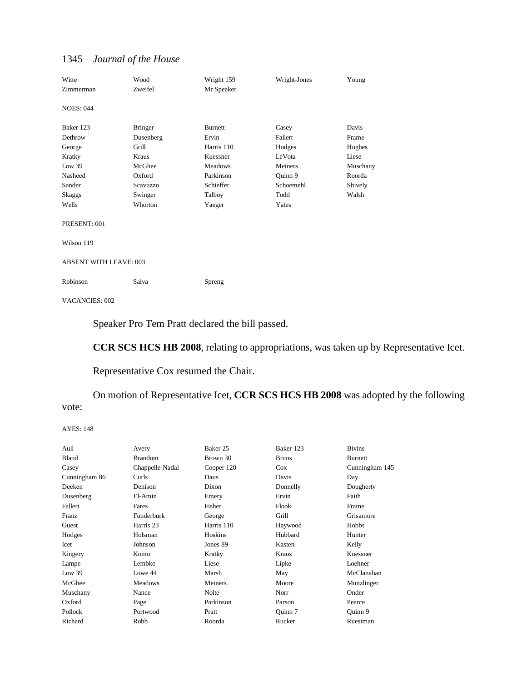| Witte<br>Zimmerman            | Wood<br>Zweifel             | Wright 159<br>Mr Speaker                 | Wright-Jones                | Young                         |
|-------------------------------|-----------------------------|------------------------------------------|-----------------------------|-------------------------------|
| <b>NOES: 044</b>              |                             |                                          |                             |                               |
| Baker 123<br>Dethrow          | <b>Bringer</b><br>Dusenberg | <b>Burnett</b><br>Ervin                  | Casey<br>Fallert            | Davis<br>Frame                |
| George<br>Kratky              | Grill<br>Kraus<br>McGhee    | Harris 110<br>Kuessner<br><b>Meadows</b> | Hodges<br>LeVota<br>Meiners | Hughes<br>Liese               |
| Low 39<br>Nasheed<br>Sander   | Oxford<br>Scavuzzo          | Parkinson<br>Schieffer                   | Quinn 9<br>Schoemehl        | Muschany<br>Roorda<br>Shively |
| Skaggs<br>Wells               | Swinger<br>Whorton          | Talboy<br>Yaeger                         | Todd<br>Yates               | Walsh                         |
| PRESENT: 001                  |                             |                                          |                             |                               |
| Wilson 119                    |                             |                                          |                             |                               |
| <b>ABSENT WITH LEAVE: 003</b> |                             |                                          |                             |                               |
| Robinson                      | Salva                       | Spreng                                   |                             |                               |
|                               |                             |                                          |                             |                               |

VACANCIES: 002

Speaker Pro Tem Pratt declared the bill passed.

**CCR SCS HCS HB 2008**, relating to appropriations, was taken up by Representative Icet.

# Representative Cox resumed the Chair.

On motion of Representative Icet, **CCR SCS HCS HB 2008** was adopted by the following vote:

| Aull          | Avery           | Baker 25   | Baker 123    | <b>Bivins</b>  |
|---------------|-----------------|------------|--------------|----------------|
| Bland         | <b>Brandom</b>  | Brown 30   | <b>Bruns</b> | <b>Burnett</b> |
| Casey         | Chappelle-Nadal | Cooper 120 | $\cos$       | Cunningham 145 |
| Cunningham 86 | Curls           | Daus       | Davis        | Day            |
| Deeken        | Denison         | Dixon      | Donnelly     | Dougherty      |
| Dusenberg     | El-Amin         | Emery      | Ervin        | Faith          |
| Fallert       | Fares           | Fisher     | Flook        | Frame          |
| Franz         | Funderburk      | George     | Grill        | Grisamore      |
| Guest         | Harris 23       | Harris 110 | Haywood      | Hobbs          |
| Hodges        | Holsman         | Hoskins    | Hubbard      | Hunter         |
| Icet          | Johnson         | Jones 89   | Kasten       | Kelly          |
| Kingery       | Komo            | Kratky     | Kraus        | Kuessner       |
| Lampe         | Lembke          | Liese      | Lipke        | Loehner        |
| Low 39        | Lowe 44         | Marsh      | May          | McClanahan     |
| McGhee        | Meadows         | Meiners    | Moore        | Munzlinger     |
| Muschany      | Nance           | Nolte      | Norr         | Onder          |
| Oxford        | Page            | Parkinson  | Parson       | Pearce         |
| Pollock       | Portwood        | Pratt      | Ouinn 7      | Ouinn 9        |
| Richard       | Robb            | Roorda     | Rucker       | Ruestman       |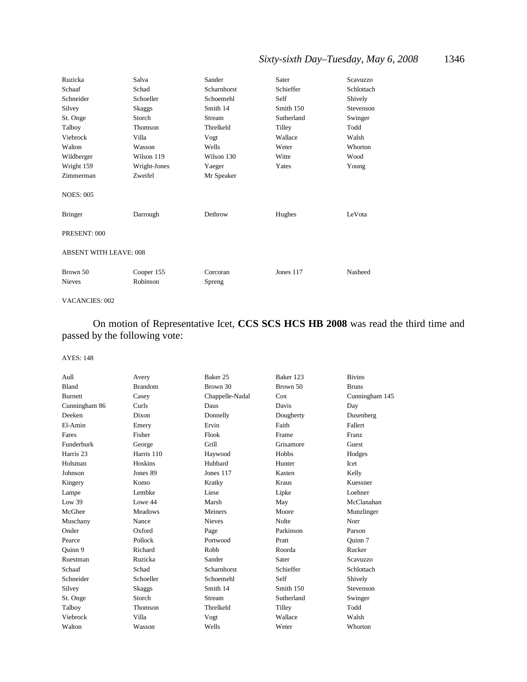# *Sixty-sixth Day–Tuesday, May 6, 2008* 1346

| Ruzicka                       | Salva                  | Sander             | Sater      | Scavuzzo   |  |
|-------------------------------|------------------------|--------------------|------------|------------|--|
| Schaaf                        | Schad                  | Scharnhorst        | Schieffer  | Schlottach |  |
| Schneider                     | Schoeller              | Schoemehl          | Self       | Shively    |  |
| Silvey                        | Skaggs                 | Smith 14           | Smith 150  | Stevenson  |  |
| St. Onge                      | Storch                 | Stream             | Sutherland | Swinger    |  |
| Talboy                        | Thomson                | Threlkeld          | Tilley     | Todd       |  |
| Viebrock                      | Villa                  | Vogt               | Wallace    | Walsh      |  |
| Walton                        | Wasson                 | Wells              | Weter      | Whorton    |  |
| Wildberger                    | Wilson 119             | Wilson 130         | Witte      | Wood       |  |
| Wright 159                    | Wright-Jones           | Yaeger             | Yates      | Young      |  |
| Zimmerman                     | Zweifel                | Mr Speaker         |            |            |  |
| <b>NOES: 005</b>              |                        |                    |            |            |  |
| <b>Bringer</b>                | Darrough               | Dethrow            | Hughes     | LeVota     |  |
| PRESENT: 000                  |                        |                    |            |            |  |
| <b>ABSENT WITH LEAVE: 008</b> |                        |                    |            |            |  |
| Brown 50<br><b>Nieves</b>     | Cooper 155<br>Robinson | Corcoran<br>Spreng | Jones 117  | Nasheed    |  |

#### VACANCIES: 002

On motion of Representative Icet, **CCS SCS HCS HB 2008** was read the third time and passed by the following vote:

| Aull           | Avery          | Baker 25        | Baker 123    | <b>Bivins</b>  |
|----------------|----------------|-----------------|--------------|----------------|
| Bland          | <b>Brandom</b> | Brown 30        | Brown 50     | <b>Bruns</b>   |
| <b>Burnett</b> | Casey          | Chappelle-Nadal | Cox          | Cunningham 145 |
| Cunningham 86  | Curls          | Daus            | Davis        | Day            |
| Deeken         | Dixon          | Donnelly        | Dougherty    | Dusenberg      |
| El-Amin        | Emery          | Ervin           | Faith        | Fallert        |
| Fares          | Fisher         | Flook           | Frame        | Franz          |
| Funderburk     | George         | Grill           | Grisamore    | Guest          |
| Harris 23      | Harris 110     | Haywood         | Hobbs        | Hodges         |
| Holsman        | Hoskins        | Hubbard         | Hunter       | Icet           |
| Johnson        | Jones 89       | Jones 117       | Kasten       | Kelly          |
| Kingery        | Komo           | Kratky          | Kraus        | Kuessner       |
| Lampe          | Lembke         | Liese           | Lipke        | Loehner        |
| Low 39         | Lowe 44        | Marsh           | May          | McClanahan     |
| McGhee         | <b>Meadows</b> | Meiners         | Moore        | Munzlinger     |
| Muschany       | Nance          | <b>Nieves</b>   | <b>Nolte</b> | Norr           |
| Onder          | Oxford         | Page            | Parkinson    | Parson         |
| Pearce         | Pollock        | Portwood        | Pratt        | Ouinn 7        |
| Ouinn 9        | Richard        | Robb            | Roorda       | Rucker         |
| Ruestman       | Ruzicka        | Sander          | Sater        | Scavuzzo       |
| Schaaf         | Schad          | Scharnhorst     | Schieffer    | Schlottach     |
| Schneider      | Schoeller      | Schoemehl       | Self         | Shively        |
| Silvey         | Skaggs         | Smith 14        | Smith 150    | Stevenson      |
| St. Onge       | Storch         | Stream          | Sutherland   | Swinger        |
| Talboy         | Thomson        | Threlkeld       | Tilley       | Todd           |
| Viebrock       | Villa          | Vogt            | Wallace      | Walsh          |
| Walton         | Wasson         | Wells           | Weter        | Whorton        |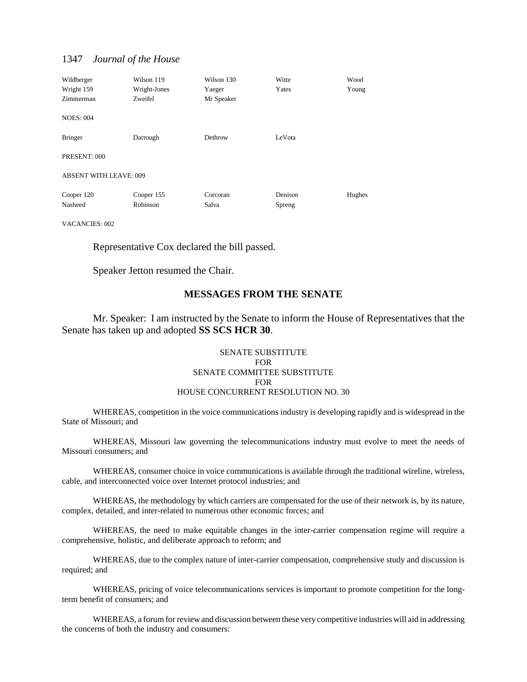| Wildberger<br>Wright 159<br>Zimmerman | Wilson 119<br>Wright-Jones<br>Zweifel | Wilson 130<br>Yaeger<br>Mr Speaker | Witte<br>Yates | Wood<br>Young |
|---------------------------------------|---------------------------------------|------------------------------------|----------------|---------------|
| <b>NOES: 004</b>                      |                                       |                                    |                |               |
| <b>Bringer</b>                        | Darrough                              | Dethrow                            | LeVota         |               |
| PRESENT: 000                          |                                       |                                    |                |               |
| <b>ABSENT WITH LEAVE: 009</b>         |                                       |                                    |                |               |
| Cooper 120                            | Cooper 155                            | Corcoran                           | Denison        | Hughes        |
| Nasheed                               | Robinson                              | Salva                              | Spreng         |               |

VACANCIES: 002

Representative Cox declared the bill passed.

Speaker Jetton resumed the Chair.

#### **MESSAGES FROM THE SENATE**

Mr. Speaker: I am instructed by the Senate to inform the House of Representatives that the Senate has taken up and adopted **SS SCS HCR 30**.

#### SENATE SUBSTITUTE FOR SENATE COMMITTEE SUBSTITUTE FOR HOUSE CONCURRENT RESOLUTION NO. 30

WHEREAS, competition in the voice communications industry is developing rapidly and is widespread in the State of Missouri; and

WHEREAS, Missouri law governing the telecommunications industry must evolve to meet the needs of Missouri consumers; and

WHEREAS, consumer choice in voice communications is available through the traditional wireline, wireless, cable, and interconnected voice over Internet protocol industries; and

WHEREAS, the methodology by which carriers are compensated for the use of their network is, by its nature, complex, detailed, and inter-related to numerous other economic forces; and

WHEREAS, the need to make equitable changes in the inter-carrier compensation regime will require a comprehensive, holistic, and deliberate approach to reform; and

WHEREAS, due to the complex nature of inter-carrier compensation, comprehensive study and discussion is required; and

WHEREAS, pricing of voice telecommunications services is important to promote competition for the longterm benefit of consumers; and

WHEREAS, a forum for review and discussion between these very competitive industries will aid in addressing the concerns of both the industry and consumers: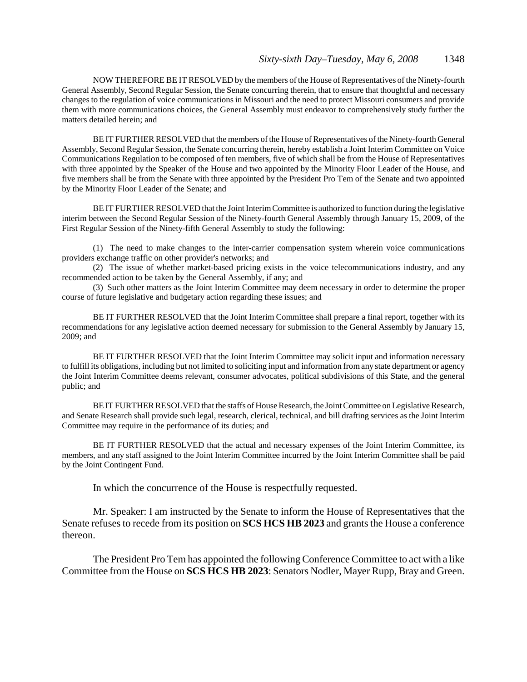NOW THEREFORE BE IT RESOLVED by the members of the House of Representatives of the Ninety-fourth General Assembly, Second Regular Session, the Senate concurring therein, that to ensure that thoughtful and necessary changes to the regulation of voice communications in Missouri and the need to protect Missouri consumers and provide them with more communications choices, the General Assembly must endeavor to comprehensively study further the matters detailed herein; and

BE IT FURTHER RESOLVED that the members of the House of Representatives of the Ninety-fourth General Assembly, Second Regular Session, the Senate concurring therein, hereby establish a Joint Interim Committee on Voice Communications Regulation to be composed of ten members, five of which shall be from the House of Representatives with three appointed by the Speaker of the House and two appointed by the Minority Floor Leader of the House, and five members shall be from the Senate with three appointed by the President Pro Tem of the Senate and two appointed by the Minority Floor Leader of the Senate; and

BE IT FURTHER RESOLVED that the Joint Interim Committee is authorized to function during the legislative interim between the Second Regular Session of the Ninety-fourth General Assembly through January 15, 2009, of the First Regular Session of the Ninety-fifth General Assembly to study the following:

(1) The need to make changes to the inter-carrier compensation system wherein voice communications providers exchange traffic on other provider's networks; and

(2) The issue of whether market-based pricing exists in the voice telecommunications industry, and any recommended action to be taken by the General Assembly, if any; and

(3) Such other matters as the Joint Interim Committee may deem necessary in order to determine the proper course of future legislative and budgetary action regarding these issues; and

BE IT FURTHER RESOLVED that the Joint Interim Committee shall prepare a final report, together with its recommendations for any legislative action deemed necessary for submission to the General Assembly by January 15, 2009; and

BE IT FURTHER RESOLVED that the Joint Interim Committee may solicit input and information necessary to fulfill its obligations, including but not limited to soliciting input and information from any state department or agency the Joint Interim Committee deems relevant, consumer advocates, political subdivisions of this State, and the general public; and

BE IT FURTHER RESOLVED that the staffs of House Research, the Joint Committee on Legislative Research, and Senate Research shall provide such legal, research, clerical, technical, and bill drafting services as the Joint Interim Committee may require in the performance of its duties; and

BE IT FURTHER RESOLVED that the actual and necessary expenses of the Joint Interim Committee, its members, and any staff assigned to the Joint Interim Committee incurred by the Joint Interim Committee shall be paid by the Joint Contingent Fund.

In which the concurrence of the House is respectfully requested.

Mr. Speaker: I am instructed by the Senate to inform the House of Representatives that the Senate refuses to recede from its position on **SCS HCS HB 2023** and grants the House a conference thereon.

The President Pro Tem has appointed the following Conference Committee to act with a like Committee from the House on **SCS HCS HB 2023**: Senators Nodler, Mayer Rupp, Bray and Green.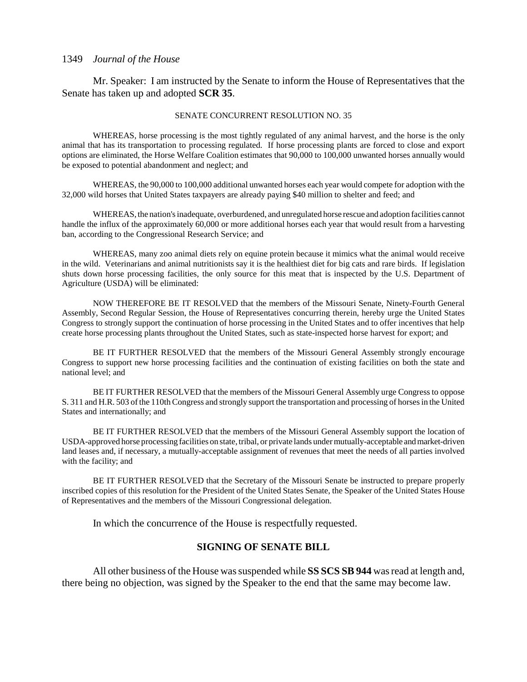Mr. Speaker: I am instructed by the Senate to inform the House of Representatives that the Senate has taken up and adopted **SCR 35**.

#### SENATE CONCURRENT RESOLUTION NO. 35

WHEREAS, horse processing is the most tightly regulated of any animal harvest, and the horse is the only animal that has its transportation to processing regulated. If horse processing plants are forced to close and export options are eliminated, the Horse Welfare Coalition estimates that 90,000 to 100,000 unwanted horses annually would be exposed to potential abandonment and neglect; and

WHEREAS, the 90,000 to 100,000 additional unwanted horses each year would compete for adoption with the 32,000 wild horses that United States taxpayers are already paying \$40 million to shelter and feed; and

WHEREAS, the nation's inadequate, overburdened, and unregulated horse rescue and adoption facilities cannot handle the influx of the approximately 60,000 or more additional horses each year that would result from a harvesting ban, according to the Congressional Research Service; and

WHEREAS, many zoo animal diets rely on equine protein because it mimics what the animal would receive in the wild. Veterinarians and animal nutritionists say it is the healthiest diet for big cats and rare birds. If legislation shuts down horse processing facilities, the only source for this meat that is inspected by the U.S. Department of Agriculture (USDA) will be eliminated:

NOW THEREFORE BE IT RESOLVED that the members of the Missouri Senate, Ninety-Fourth General Assembly, Second Regular Session, the House of Representatives concurring therein, hereby urge the United States Congress to strongly support the continuation of horse processing in the United States and to offer incentives that help create horse processing plants throughout the United States, such as state-inspected horse harvest for export; and

BE IT FURTHER RESOLVED that the members of the Missouri General Assembly strongly encourage Congress to support new horse processing facilities and the continuation of existing facilities on both the state and national level; and

BE IT FURTHER RESOLVED that the members of the Missouri General Assembly urge Congress to oppose S. 311 and H.R. 503 of the 110th Congress and strongly support the transportation and processing of horses in the United States and internationally; and

BE IT FURTHER RESOLVED that the members of the Missouri General Assembly support the location of USDA-approved horse processing facilities on state, tribal, or private lands under mutually-acceptable and market-driven land leases and, if necessary, a mutually-acceptable assignment of revenues that meet the needs of all parties involved with the facility; and

BE IT FURTHER RESOLVED that the Secretary of the Missouri Senate be instructed to prepare properly inscribed copies of this resolution for the President of the United States Senate, the Speaker of the United States House of Representatives and the members of the Missouri Congressional delegation.

In which the concurrence of the House is respectfully requested.

#### **SIGNING OF SENATE BILL**

All other business of the House was suspended while **SS SCS SB 944** was read at length and, there being no objection, was signed by the Speaker to the end that the same may become law.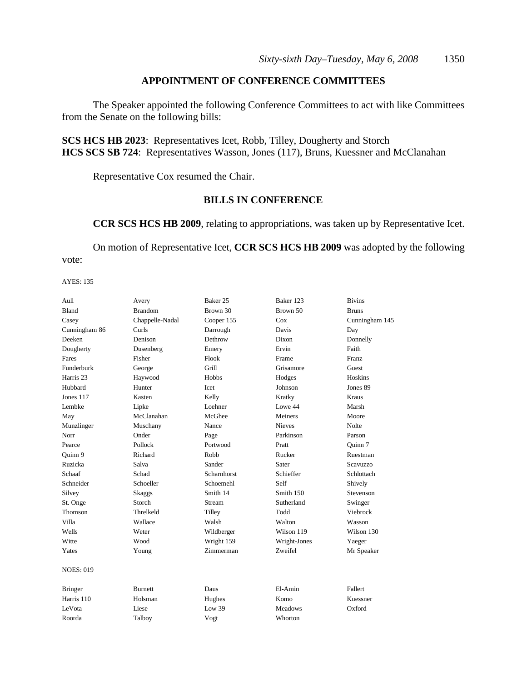## **APPOINTMENT OF CONFERENCE COMMITTEES**

The Speaker appointed the following Conference Committees to act with like Committees from the Senate on the following bills:

**SCS HCS HB 2023**: Representatives Icet, Robb, Tilley, Dougherty and Storch **HCS SCS SB 724**: Representatives Wasson, Jones (117), Bruns, Kuessner and McClanahan

Representative Cox resumed the Chair.

## **BILLS IN CONFERENCE**

**CCR SCS HCS HB 2009**, relating to appropriations, was taken up by Representative Icet.

On motion of Representative Icet, **CCR SCS HCS HB 2009** was adopted by the following vote:

| Aull             | Avery           | Baker 25    | Baker 123      | <b>Bivins</b>  |
|------------------|-----------------|-------------|----------------|----------------|
| Bland            | <b>Brandom</b>  | Brown 30    | Brown 50       | <b>Bruns</b>   |
| Casey            | Chappelle-Nadal | Cooper 155  | Cox            | Cunningham 145 |
| Cunningham 86    | Curls           | Darrough    | Davis          | Day            |
| Deeken           | Denison         | Dethrow     | Dixon          | Donnelly       |
| Dougherty        | Dusenberg       | Emery       | Ervin          | Faith          |
| Fares            | Fisher          | Flook       | Frame          | Franz          |
| Funderburk       | George          | Grill       | Grisamore      | Guest          |
| Harris 23        | Haywood         | Hobbs       | Hodges         | Hoskins        |
| Hubbard          | Hunter          | Icet        | Johnson        | Jones 89       |
| Jones $117$      | Kasten          | Kelly       | Kratky         | Kraus          |
| Lembke           | Lipke           | Loehner     | Lowe 44        | Marsh          |
| May              | McClanahan      | McGhee      | Meiners        | Moore          |
| Munzlinger       | Muschany        | Nance       | <b>Nieves</b>  | <b>Nolte</b>   |
| Norr             | Onder           | Page        | Parkinson      | Parson         |
| Pearce           | Pollock         | Portwood    | Pratt          | Ouinn 7        |
| Quinn 9          | Richard         | Robb        | Rucker         | Ruestman       |
| Ruzicka          | Salva           | Sander      | Sater          | Scavuzzo       |
| Schaaf           | Schad           | Scharnhorst | Schieffer      | Schlottach     |
| Schneider        | Schoeller       | Schoemehl   | Self           | Shively        |
| Silvey           | Skaggs          | Smith 14    | Smith 150      | Stevenson      |
| St. Onge         | Storch          | Stream      | Sutherland     | Swinger        |
| Thomson          | Threlkeld       | Tilley      | Todd           | Viebrock       |
| Villa            | Wallace         | Walsh       | Walton         | Wasson         |
| Wells            | Weter           | Wildberger  | Wilson 119     | Wilson 130     |
| Witte            | Wood            | Wright 159  | Wright-Jones   | Yaeger         |
| Yates            | Young           | Zimmerman   | Zweifel        | Mr Speaker     |
| <b>NOES: 019</b> |                 |             |                |                |
| <b>Bringer</b>   | <b>Burnett</b>  | Daus        | El-Amin        | Fallert        |
| Harris 110       | Holsman         | Hughes      | Komo           | Kuessner       |
| LeVota           | Liese           | Low 39      | <b>Meadows</b> | Oxford         |
| Roorda           | Talboy          | Vogt        | Whorton        |                |
|                  |                 |             |                |                |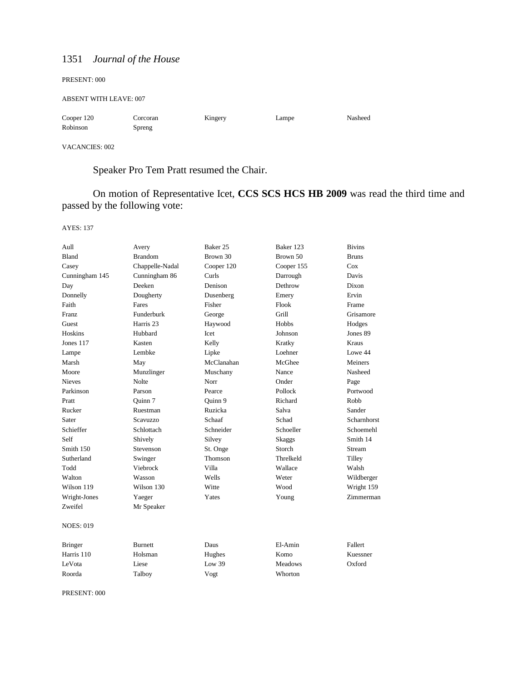| PRESENT: 000                  |                    |         |       |         |
|-------------------------------|--------------------|---------|-------|---------|
| <b>ABSENT WITH LEAVE: 007</b> |                    |         |       |         |
| Cooper 120<br>Robinson        | Corcoran<br>Spreng | Kingery | Lampe | Nasheed |

VACANCIES: 002

# Speaker Pro Tem Pratt resumed the Chair.

On motion of Representative Icet, **CCS SCS HCS HB 2009** was read the third time and passed by the following vote:

AYES: 137

| Aull             | Avery                | Baker 25   | Baker 123      | <b>Bivins</b>      |
|------------------|----------------------|------------|----------------|--------------------|
| Bland            | <b>Brandom</b>       | Brown 30   | Brown 50       | <b>Bruns</b>       |
| Casey            | Chappelle-Nadal      | Cooper 120 | Cooper 155     | Cox                |
| Cunningham 145   | Cunningham 86        | Curls      | Darrough       | Davis              |
| Day              | Deeken               | Denison    | Dethrow        | Dixon              |
| Donnelly         | Dougherty            | Dusenberg  | Emery          | Ervin              |
| Faith            | Fares                | Fisher     | Flook          | Frame              |
| Franz            | Funderburk           | George     | Grill          | Grisamore          |
| Guest            | Harris <sub>23</sub> | Haywood    | Hobbs          | Hodges             |
| Hoskins          | Hubbard              | Icet       | Johnson        | Jones 89           |
| Jones $117$      | Kasten               | Kelly      | Kratky         | Kraus              |
| Lampe            | Lembke               | Lipke      | Loehner        | Lowe 44            |
| Marsh            | May                  | McClanahan | McGhee         | <b>Meiners</b>     |
| Moore            | Munzlinger           | Muschany   | Nance          | Nasheed            |
| <b>Nieves</b>    | Nolte                | Norr       | Onder          | Page               |
| Parkinson        | Parson               | Pearce     | Pollock        | Portwood           |
| Pratt            | Quinn 7              | Quinn 9    | Richard        | Robb               |
| Rucker           | Ruestman             | Ruzicka    | Salva          | Sander             |
| Sater            | <b>Scavuzzo</b>      | Schaaf     | Schad          | <b>Scharnhorst</b> |
| Schieffer        | Schlottach           | Schneider  | Schoeller      | Schoemehl          |
| Self             | Shively              | Silvey     | Skaggs         | Smith 14           |
| Smith 150        | Stevenson            | St. Onge   | Storch         | Stream             |
| Sutherland       | Swinger              | Thomson    | Threlkeld      | Tilley             |
| Todd             | Viebrock             | Villa      | Wallace        | Walsh              |
| Walton           | Wasson               | Wells      | Weter          | Wildberger         |
| Wilson 119       | Wilson 130           | Witte      | Wood           | Wright 159         |
| Wright-Jones     | Yaeger               | Yates      | Young          | Zimmerman          |
| Zweifel          | Mr Speaker           |            |                |                    |
| <b>NOES: 019</b> |                      |            |                |                    |
| <b>Bringer</b>   | Burnett              | Daus       | El-Amin        | Fallert            |
| Harris 110       | Holsman              | Hughes     | Komo           | Kuessner           |
| LeVota           | Liese                | Low 39     | <b>Meadows</b> | Oxford             |
| Roorda           | Talboy               | Vogt       | Whorton        |                    |
|                  |                      |            |                |                    |

PRESENT: 000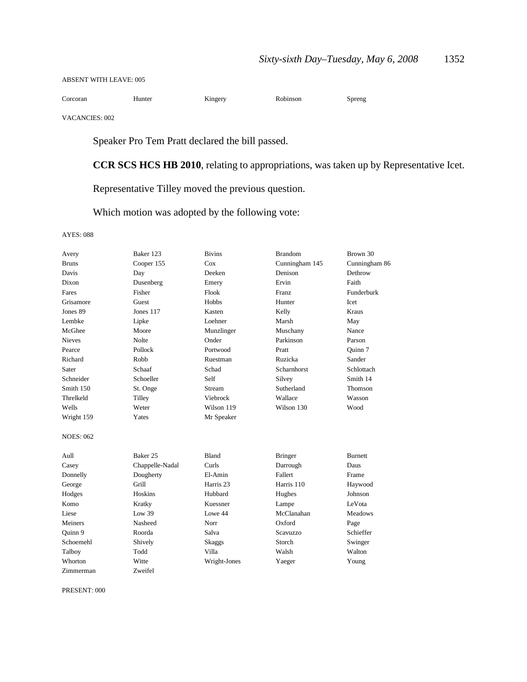#### ABSENT WITH LEAVE: 005

| ⌒<br>Corcoran | Hunter | Kıngerv | Robinson | Spreng |
|---------------|--------|---------|----------|--------|
| .             |        |         |          |        |

VACANCIES: 002

Speaker Pro Tem Pratt declared the bill passed.

**CCR SCS HCS HB 2010**, relating to appropriations, was taken up by Representative Icet.

Representative Tilley moved the previous question.

Which motion was adopted by the following vote:

#### AYES: 088

| Avery            | Baker 123       | <b>Bivins</b>        | <b>Brandom</b> | Brown 30       |
|------------------|-----------------|----------------------|----------------|----------------|
| <b>Bruns</b>     | Cooper 155      | Cox                  | Cunningham 145 | Cunningham 86  |
| Davis            | Day             | Deeken               | Denison        | Dethrow        |
| Dixon            | Dusenberg       | Emery                | Ervin          | Faith          |
| Fares            | Fisher          | Flook                | <b>Franz</b>   | Funderburk     |
| Grisamore        | Guest           | Hobbs                | Hunter         | Icet           |
| Jones 89         | Jones 117       | Kasten               | Kelly          | Kraus          |
| Lembke           | Lipke           | Loehner              | Marsh          | May            |
| McGhee           | Moore           | Munzlinger           | Muschany       | Nance          |
| <b>Nieves</b>    | Nolte           | Onder                | Parkinson      | Parson         |
| Pearce           | Pollock         | Portwood             | Pratt          | Ouinn 7        |
| Richard          | Robb            | Ruestman             | Ruzicka        | Sander         |
| Sater            | Schaaf          | Schad                | Scharnhorst    | Schlottach     |
| Schneider        | Schoeller       | Self                 | Silvey         | Smith 14       |
| Smith 150        | St. Onge        | Stream               | Sutherland     | Thomson        |
| Threlkeld        | Tilley          | Viebrock             | Wallace        | Wasson         |
| Wells            | Weter           | Wilson 119           | Wilson 130     | Wood           |
| Wright 159       | Yates           | Mr Speaker           |                |                |
| <b>NOES: 062</b> |                 |                      |                |                |
| Aull             | Baker 25        | <b>Bland</b>         | <b>Bringer</b> | <b>Burnett</b> |
| Casey            | Chappelle-Nadal | Curls                | Darrough       | Daus           |
| Donnelly         | Dougherty       | El-Amin              | Fallert        | Frame          |
| George           | Grill           | Harris <sub>23</sub> | Harris 110     | Haywood        |
| Hodges           | Hoskins         | Hubbard              | Hughes         | Johnson        |
| Komo             | Kratky          | Kuessner             | Lampe          | LeVota         |
| Liese            | Low 39          | Lowe 44              | McClanahan     | <b>Meadows</b> |
| Meiners          | Nasheed         | Norr                 | Oxford         | Page           |
| Quinn 9          | Roorda          | Salva                | Scavuzzo       | Schieffer      |
| Schoemehl        | Shively         | Skaggs               | Storch         | Swinger        |
| Talboy           | Todd            | Villa                | Walsh          | Walton         |
| Whorton          | Witte           | Wright-Jones         | Yaeger         | Young          |
| Zimmerman        | Zweifel         |                      |                |                |

PRESENT: 000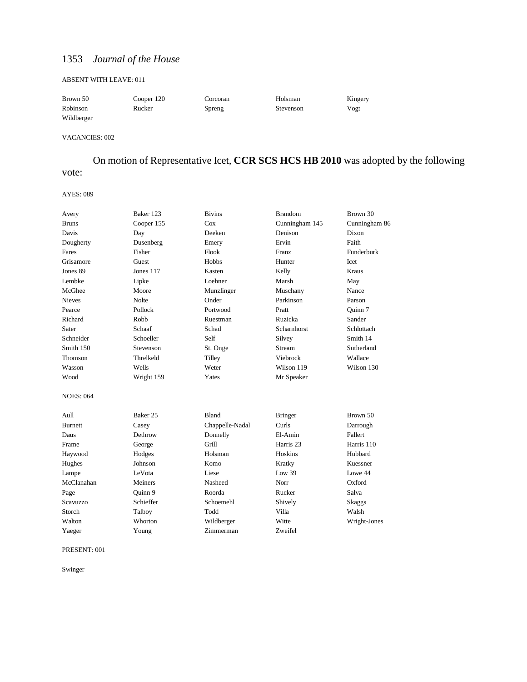#### ABSENT WITH LEAVE: 011

| Brown 50   | Cooper 120 | Corcoran | Holsman   | Kingery |
|------------|------------|----------|-----------|---------|
| Robinson   | Rucker     | Spreng   | Stevenson | Vogt    |
| Wildberger |            |          |           |         |

VACANCIES: 002

# On motion of Representative Icet, **CCR SCS HCS HB 2010** was adopted by the following vote:

#### AYES: 089

| Avery            | Baker 123  | <b>Bivins</b>   | <b>Brandom</b>       | Brown 30      |
|------------------|------------|-----------------|----------------------|---------------|
| <b>Bruns</b>     | Cooper 155 | Cox             | Cunningham 145       | Cunningham 86 |
| Davis            | Day        | Deeken          | Denison              | Dixon         |
| Dougherty        | Dusenberg  | Emery           | Ervin                | Faith         |
| Fares            | Fisher     | Flook           | Franz                | Funderburk    |
| Grisamore        | Guest      | Hobbs           | Hunter               | Icet          |
| Jones 89         | Jones 117  | Kasten          | Kelly                | Kraus         |
| Lembke           | Lipke      | Loehner         | Marsh                | May           |
| McGhee           | Moore      | Munzlinger      | Muschany             | Nance         |
| <b>Nieves</b>    | Nolte      | Onder           | Parkinson            | Parson        |
| Pearce           | Pollock    | Portwood        | Pratt                | Ouinn 7       |
| Richard          | Robb       | Ruestman        | Ruzicka              | Sander        |
| Sater            | Schaaf     | Schad           | Scharnhorst          | Schlottach    |
| Schneider        | Schoeller  | Self            | Silvey               | Smith 14      |
| Smith 150        | Stevenson  | St. Onge        | Stream               | Sutherland    |
| Thomson          | Threlkeld  | Tilley          | Viebrock             | Wallace       |
| Wasson           | Wells      | Weter           | Wilson 119           | Wilson 130    |
| Wood             | Wright 159 | Yates           | Mr Speaker           |               |
| <b>NOES: 064</b> |            |                 |                      |               |
| Aull             | Baker 25   | Bland           | <b>Bringer</b>       | Brown 50      |
| <b>Burnett</b>   | Casey      | Chappelle-Nadal | Curls                | Darrough      |
| Daus             | Dethrow    | Donnelly        | El-Amin              | Fallert       |
| Frame            | George     | Grill           | Harris <sub>23</sub> | Harris 110    |
| Haywood          | Hodges     | Holsman         | Hoskins              | Hubbard       |
| Hughes           | Johnson    | Komo            | Kratky               | Kuessner      |
| Lampe            | LeVota     | Liese           | Low 39               | Lowe 44       |
| McClanahan       | Meiners    | Nasheed         | Norr                 | Oxford        |
| Page             | Quinn 9    | Roorda          | Rucker               | Salva         |
| <b>Scavuzzo</b>  | Schieffer  | Schoemehl       | Shively              | <b>Skaggs</b> |
| Storch           | Talboy     | Todd            | Villa                | Walsh         |
| Walton           | Whorton    | Wildberger      | Witte                | Wright-Jones  |
| Yaeger           | Young      | Zimmerman       | Zweifel              |               |

#### PRESENT: 001

Swinger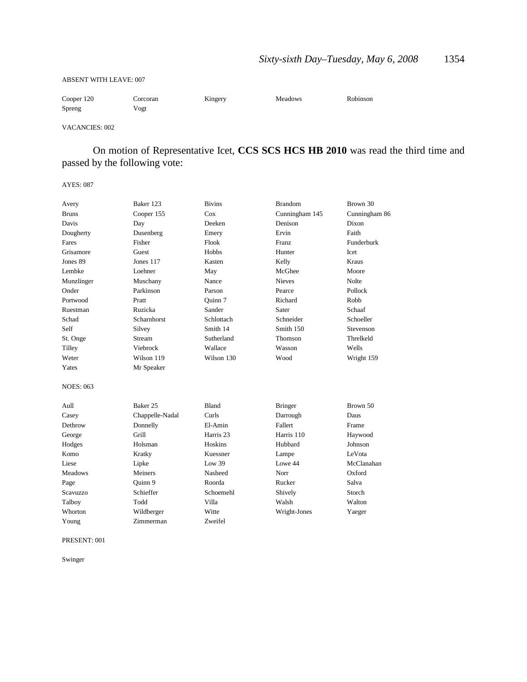#### ABSENT WITH LEAVE: 007

| Cooper 120 | Corcoran | Kingery | <b>Meadows</b> | Robinson |
|------------|----------|---------|----------------|----------|
| Spreng     | Vogt     |         |                |          |

#### VACANCIES: 002

On motion of Representative Icet, **CCS SCS HCS HB 2010** was read the third time and passed by the following vote:

#### AYES: 087

| Avery            | Baker 123       | <b>Bivins</b>        | <b>Brandom</b> | Brown 30      |  |
|------------------|-----------------|----------------------|----------------|---------------|--|
| <b>Bruns</b>     | Cooper 155      | Cox                  | Cunningham 145 | Cunningham 86 |  |
| Davis            | Day             | Deeken               | Denison        | Dixon         |  |
| Dougherty        | Dusenberg       | Emery                | Ervin          | Faith         |  |
| Fares            | Fisher          | Flook                | Franz          | Funderburk    |  |
| Grisamore        | Guest           | <b>Hobbs</b>         | Hunter         | Icet          |  |
| Jones 89         | Jones 117       | Kasten               | Kelly          | <b>Kraus</b>  |  |
| Lembke           | Loehner         | May                  | McGhee         | Moore         |  |
| Munzlinger       | Muschany        | Nance                | <b>Nieves</b>  | <b>Nolte</b>  |  |
| Onder            | Parkinson       | Parson               | Pearce         | Pollock       |  |
| Portwood         | Pratt           | Ouinn 7              | Richard        | Robb          |  |
| Ruestman         | Ruzicka         | Sander               | Sater          | Schaaf        |  |
| Schad            | Scharnhorst     | Schlottach           | Schneider      | Schoeller     |  |
| Self             | Silvey          | Smith 14             | Smith 150      | Stevenson     |  |
| St. Onge         | Stream          | Sutherland           | <b>Thomson</b> | Threlkeld     |  |
| Tilley           | Viebrock        | Wallace              | Wasson         | Wells         |  |
| Weter            | Wilson 119      | Wilson 130           | Wood           | Wright 159    |  |
| Yates            | Mr Speaker      |                      |                |               |  |
| <b>NOES: 063</b> |                 |                      |                |               |  |
| Aull             | Baker 25        | <b>Bland</b>         | <b>Bringer</b> | Brown 50      |  |
| Casey            | Chappelle-Nadal | Curls                | Darrough       | Daus          |  |
| Dethrow          | Donnelly        | El-Amin              | Fallert        | Frame         |  |
| George           | Grill           | Harris <sub>23</sub> | Harris 110     | Haywood       |  |
| Hodges           | Holsman         | Hoskins              | Hubbard        | Johnson       |  |
| Komo             | Kratky          | Kuessner             | Lampe          | LeVota        |  |
| Liese            | Lipke           | Low 39               | Lowe 44        | McClanahan    |  |
| <b>Meadows</b>   | Meiners         | Nasheed              | Norr           | Oxford        |  |
| Page             | Quinn 9         | Roorda               | Rucker         | Salva         |  |
| <b>Scavuzzo</b>  | Schieffer       | Schoemehl            | Shively        | Storch        |  |
| Talboy           | Todd            | Villa                | Walsh          | Walton        |  |
| Whorton          | Wildberger      | Witte                | Wright-Jones   | Yaeger        |  |
| Young            | Zimmerman       | Zweifel              |                |               |  |

PRESENT: 001

Swinger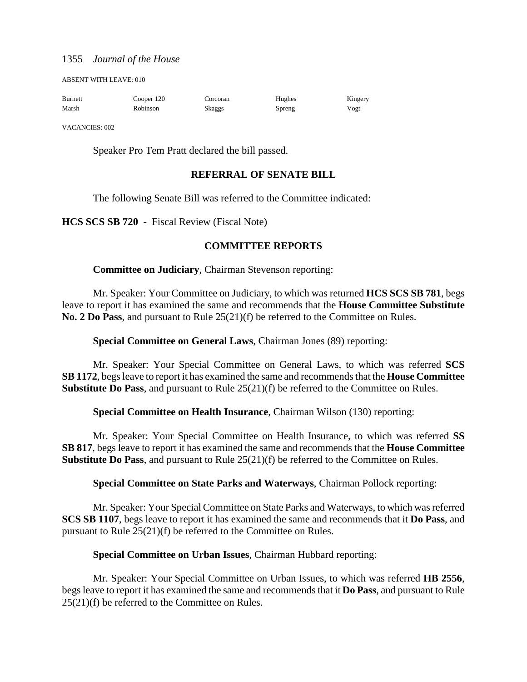ABSENT WITH LEAVE: 010

| <b>Burnett</b> | Cooper 120 | Corcoran | Hughes | Kingery |
|----------------|------------|----------|--------|---------|
| Marsh          | Robinson   | Skaggs   | Spreng | Vogt    |

VACANCIES: 002

Speaker Pro Tem Pratt declared the bill passed.

#### **REFERRAL OF SENATE BILL**

The following Senate Bill was referred to the Committee indicated:

**HCS SCS SB 720** - Fiscal Review (Fiscal Note)

## **COMMITTEE REPORTS**

**Committee on Judiciary**, Chairman Stevenson reporting:

Mr. Speaker: Your Committee on Judiciary, to which was returned **HCS SCS SB 781**, begs leave to report it has examined the same and recommends that the **House Committee Substitute No. 2 Do Pass**, and pursuant to Rule 25(21)(f) be referred to the Committee on Rules.

**Special Committee on General Laws**, Chairman Jones (89) reporting:

Mr. Speaker: Your Special Committee on General Laws, to which was referred **SCS SB 1172**, begs leave to report it has examined the same and recommends that the **House Committee Substitute Do Pass**, and pursuant to Rule 25(21)(f) be referred to the Committee on Rules.

**Special Committee on Health Insurance**, Chairman Wilson (130) reporting:

Mr. Speaker: Your Special Committee on Health Insurance, to which was referred **SS SB 817**, begs leave to report it has examined the same and recommends that the **House Committee Substitute Do Pass**, and pursuant to Rule 25(21)(f) be referred to the Committee on Rules.

**Special Committee on State Parks and Waterways**, Chairman Pollock reporting:

Mr. Speaker: Your Special Committee on State Parks and Waterways, to which was referred **SCS SB 1107**, begs leave to report it has examined the same and recommends that it **Do Pass**, and pursuant to Rule 25(21)(f) be referred to the Committee on Rules.

#### **Special Committee on Urban Issues**, Chairman Hubbard reporting:

Mr. Speaker: Your Special Committee on Urban Issues, to which was referred **HB 2556**, begs leave to report it has examined the same and recommends that it **Do Pass**, and pursuant to Rule 25(21)(f) be referred to the Committee on Rules.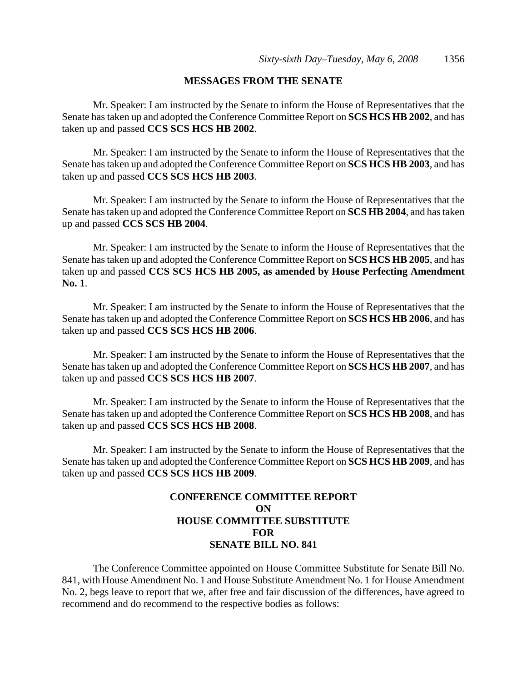#### **MESSAGES FROM THE SENATE**

Mr. Speaker: I am instructed by the Senate to inform the House of Representatives that the Senate has taken up and adopted the Conference Committee Report on **SCS HCS HB 2002**, and has taken up and passed **CCS SCS HCS HB 2002**.

Mr. Speaker: I am instructed by the Senate to inform the House of Representatives that the Senate has taken up and adopted the Conference Committee Report on **SCS HCS HB 2003**, and has taken up and passed **CCS SCS HCS HB 2003**.

Mr. Speaker: I am instructed by the Senate to inform the House of Representatives that the Senate has taken up and adopted the Conference Committee Report on **SCS HB 2004**, and has taken up and passed **CCS SCS HB 2004**.

Mr. Speaker: I am instructed by the Senate to inform the House of Representatives that the Senate has taken up and adopted the Conference Committee Report on **SCS HCS HB 2005**, and has taken up and passed **CCS SCS HCS HB 2005, as amended by House Perfecting Amendment No. 1**.

Mr. Speaker: I am instructed by the Senate to inform the House of Representatives that the Senate has taken up and adopted the Conference Committee Report on **SCS HCS HB 2006**, and has taken up and passed **CCS SCS HCS HB 2006**.

Mr. Speaker: I am instructed by the Senate to inform the House of Representatives that the Senate has taken up and adopted the Conference Committee Report on **SCS HCS HB 2007**, and has taken up and passed **CCS SCS HCS HB 2007**.

Mr. Speaker: I am instructed by the Senate to inform the House of Representatives that the Senate has taken up and adopted the Conference Committee Report on **SCS HCS HB 2008**, and has taken up and passed **CCS SCS HCS HB 2008**.

Mr. Speaker: I am instructed by the Senate to inform the House of Representatives that the Senate has taken up and adopted the Conference Committee Report on **SCS HCS HB 2009**, and has taken up and passed **CCS SCS HCS HB 2009**.

## **CONFERENCE COMMITTEE REPORT ON HOUSE COMMITTEE SUBSTITUTE FOR SENATE BILL NO. 841**

The Conference Committee appointed on House Committee Substitute for Senate Bill No. 841, with House Amendment No. 1 and House Substitute Amendment No. 1 for House Amendment No. 2, begs leave to report that we, after free and fair discussion of the differences, have agreed to recommend and do recommend to the respective bodies as follows: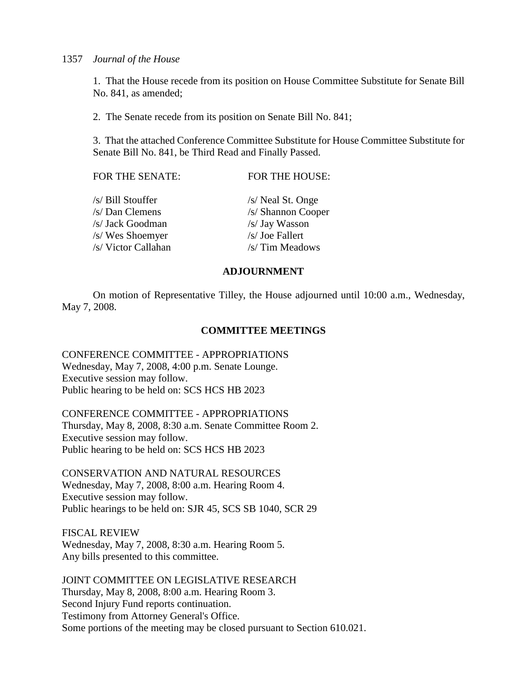1. That the House recede from its position on House Committee Substitute for Senate Bill No. 841, as amended;

2. The Senate recede from its position on Senate Bill No. 841;

3. That the attached Conference Committee Substitute for House Committee Substitute for Senate Bill No. 841, be Third Read and Finally Passed.

| FOR THE SENATE:     | FOR THE HOUSE:     |
|---------------------|--------------------|
| /s/ Bill Stouffer   | /s/ Neal St. Onge  |
| /s/ Dan Clemens     | /s/ Shannon Cooper |
| /s/ Jack Goodman    | /s/ Jay Wasson     |
| /s/ Wes Shoemyer    | /s/ Joe Fallert    |
| /s/ Victor Callahan | /s/ Tim Meadows    |
|                     |                    |

## **ADJOURNMENT**

On motion of Representative Tilley, the House adjourned until 10:00 a.m., Wednesday, May 7, 2008.

#### **COMMITTEE MEETINGS**

CONFERENCE COMMITTEE - APPROPRIATIONS Wednesday, May 7, 2008, 4:00 p.m. Senate Lounge. Executive session may follow. Public hearing to be held on: SCS HCS HB 2023

CONFERENCE COMMITTEE - APPROPRIATIONS

Thursday, May 8, 2008, 8:30 a.m. Senate Committee Room 2. Executive session may follow. Public hearing to be held on: SCS HCS HB 2023

CONSERVATION AND NATURAL RESOURCES Wednesday, May 7, 2008, 8:00 a.m. Hearing Room 4. Executive session may follow. Public hearings to be held on: SJR 45, SCS SB 1040, SCR 29

FISCAL REVIEW Wednesday, May 7, 2008, 8:30 a.m. Hearing Room 5. Any bills presented to this committee.

JOINT COMMITTEE ON LEGISLATIVE RESEARCH Thursday, May 8, 2008, 8:00 a.m. Hearing Room 3. Second Injury Fund reports continuation. Testimony from Attorney General's Office. Some portions of the meeting may be closed pursuant to Section 610.021.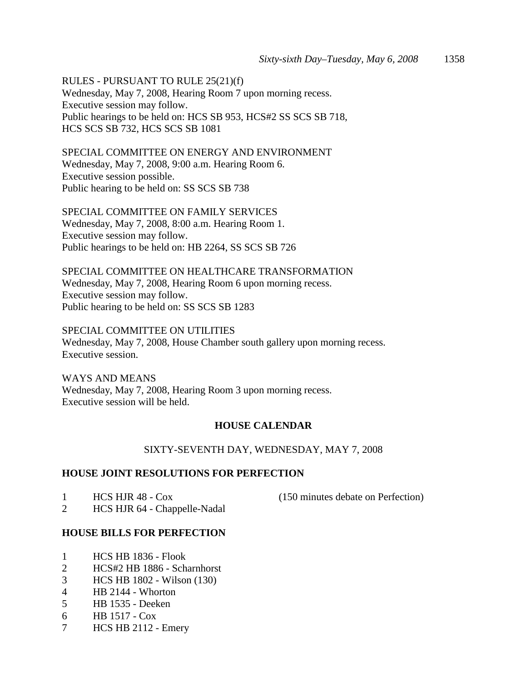RULES - PURSUANT TO RULE 25(21)(f) Wednesday, May 7, 2008, Hearing Room 7 upon morning recess. Executive session may follow. Public hearings to be held on: HCS SB 953, HCS#2 SS SCS SB 718, HCS SCS SB 732, HCS SCS SB 1081

SPECIAL COMMITTEE ON ENERGY AND ENVIRONMENT Wednesday, May 7, 2008, 9:00 a.m. Hearing Room 6. Executive session possible. Public hearing to be held on: SS SCS SB 738

SPECIAL COMMITTEE ON FAMILY SERVICES Wednesday, May 7, 2008, 8:00 a.m. Hearing Room 1. Executive session may follow. Public hearings to be held on: HB 2264, SS SCS SB 726

SPECIAL COMMITTEE ON HEALTHCARE TRANSFORMATION Wednesday, May 7, 2008, Hearing Room 6 upon morning recess. Executive session may follow. Public hearing to be held on: SS SCS SB 1283

SPECIAL COMMITTEE ON UTILITIES Wednesday, May 7, 2008, House Chamber south gallery upon morning recess. Executive session.

WAYS AND MEANS Wednesday, May 7, 2008, Hearing Room 3 upon morning recess. Executive session will be held.

# **HOUSE CALENDAR**

## SIXTY-SEVENTH DAY, WEDNESDAY, MAY 7, 2008

## **HOUSE JOINT RESOLUTIONS FOR PERFECTION**

|  | HCS HJR 48 - Cox |  |
|--|------------------|--|
|--|------------------|--|

 $(150 \text{ minutes}$  debate on Perfection)

2 HCS HJR 64 - Chappelle-Nadal

## **HOUSE BILLS FOR PERFECTION**

- 1 HCS HB 1836 Flook
- 2 HCS#2 HB 1886 Scharnhorst
- 3 HCS HB 1802 Wilson (130)
- 4 HB 2144 Whorton
- 5 HB 1535 Deeken
- 6 HB 1517 Cox
- 7 HCS HB 2112 Emery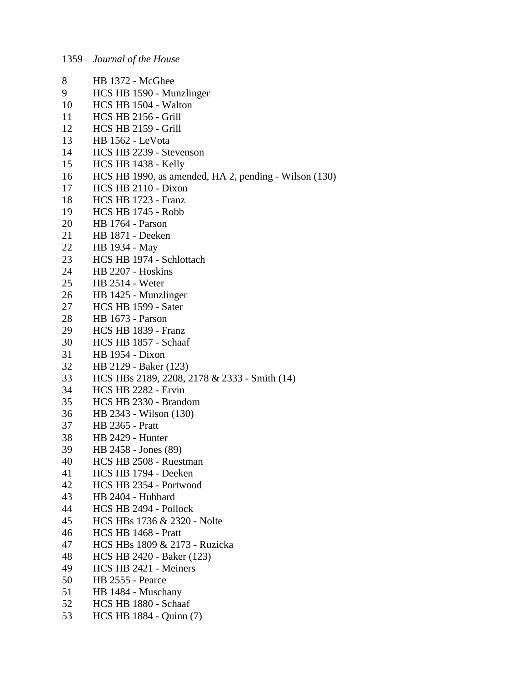| 8  | <b>HB</b> 1372 - McGhee                               |
|----|-------------------------------------------------------|
| 9  | HCS HB 1590 - Munzlinger                              |
| 10 | HCS HB 1504 - Walton                                  |
| 11 | <b>HCS HB 2156 - Grill</b>                            |
| 12 | <b>HCS HB 2159 - Grill</b>                            |
| 13 | <b>HB</b> 1562 - LeVota                               |
| 14 | HCS HB 2239 - Stevenson                               |
| 15 | HCS HB 1438 - Kelly                                   |
| 16 | HCS HB 1990, as amended, HA 2, pending - Wilson (130) |
| 17 | HCS HB 2110 - Dixon                                   |
| 18 | HCS HB 1723 - Franz                                   |
| 19 | <b>HCS HB 1745 - Robb</b>                             |
| 20 | <b>HB</b> 1764 - Parson                               |
| 21 | HB 1871 - Deeken                                      |
| 22 | HB 1934 - May                                         |
| 23 | HCS HB 1974 - Schlottach                              |
| 24 | HB 2207 - Hoskins                                     |
| 25 | <b>HB</b> 2514 - Weter                                |
| 26 | HB 1425 - Munzlinger                                  |
| 27 | HCS HB 1599 - Sater                                   |
| 28 | <b>HB</b> 1673 - Parson                               |
| 29 | HCS HB 1839 - Franz                                   |
| 30 | HCS HB 1857 - Schaaf                                  |
| 31 | HB 1954 - Dixon                                       |
| 32 | HB 2129 - Baker (123)                                 |
| 33 | HCS HBs 2189, 2208, 2178 & 2333 - Smith (14)          |
| 34 | HCS HB 2282 - Ervin                                   |
| 35 | HCS HB 2330 - Brandom                                 |
| 36 | HB 2343 - Wilson (130)                                |
| 37 | <b>HB</b> 2365 - Pratt                                |
| 38 | HB 2429 - Hunter                                      |
| 39 | HB 2458 - Jones (89)                                  |
| 40 | HCS HB 2508 - Ruestman                                |
| 41 | HCS HB 1794 - Deeken                                  |
| 42 | HCS HB 2354 - Portwood                                |
| 43 | HB 2404 - Hubbard                                     |
| 44 | HCS HB 2494 - Pollock                                 |
| 45 | HCS HBs 1736 & 2320 - Nolte                           |
| 46 | HCS HB 1468 - Pratt                                   |
| 47 | HCS HBs 1809 & 2173 - Ruzicka                         |
| 48 | HCS HB 2420 - Baker (123)                             |
| 49 | HCS HB 2421 - Meiners                                 |
| 50 | <b>HB</b> 2555 - Pearce                               |
| 51 | HB 1484 - Muschany                                    |
| 52 | HCS HB 1880 - Schaaf                                  |
| 53 | HCS HB 1884 - Quinn (7)                               |
|    |                                                       |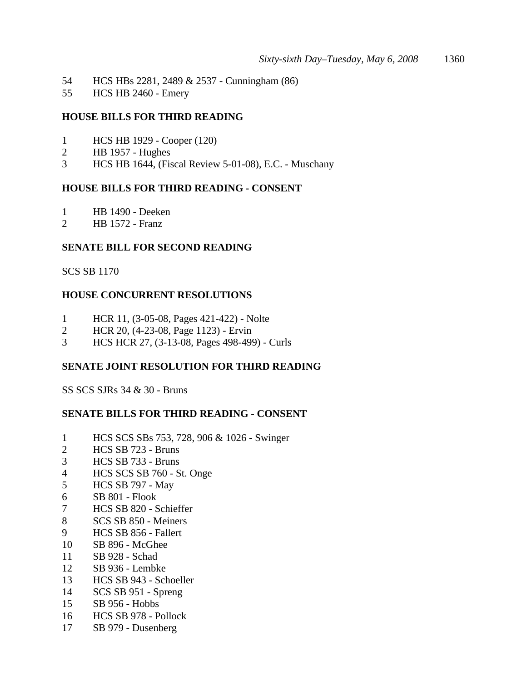- 54 HCS HBs 2281, 2489 & 2537 Cunningham (86)
- 55 HCS HB 2460 Emery

## **HOUSE BILLS FOR THIRD READING**

- 1 HCS HB 1929 Cooper (120)<br>2 HB 1957 Hughes
- 2 HB 1957 Hughes
- 3 HCS HB 1644, (Fiscal Review 5-01-08), E.C. Muschany

## **HOUSE BILLS FOR THIRD READING - CONSENT**

- 1 HB 1490 Deeken
- 2 HB 1572 Franz

## **SENATE BILL FOR SECOND READING**

## SCS SB 1170

## **HOUSE CONCURRENT RESOLUTIONS**

- 1 HCR 11, (3-05-08, Pages 421-422) Nolte
- 2 HCR 20, (4-23-08, Page 1123) Ervin
- 3 HCS HCR 27, (3-13-08, Pages 498-499) Curls

## **SENATE JOINT RESOLUTION FOR THIRD READING**

SS SCS SJRs 34 & 30 - Bruns

## **SENATE BILLS FOR THIRD READING - CONSENT**

- 1 HCS SCS SBs 753, 728, 906 & 1026 Swinger
- 2 HCS SB 723 Bruns
- 3 HCS SB 733 Bruns
- 4 HCS SCS SB 760 St. Onge
- 5 HCS SB 797 May
- 6 SB 801 Flook
- 7 HCS SB 820 Schieffer
- 8 SCS SB 850 Meiners
- 9 HCS SB 856 Fallert
- 10 SB 896 McGhee
- 11 SB 928 Schad
- 12 SB 936 Lembke
- 13 HCS SB 943 Schoeller
- 14 SCS SB 951 Spreng
- 15 SB 956 Hobbs
- 16 HCS SB 978 Pollock
- 17 SB 979 Dusenberg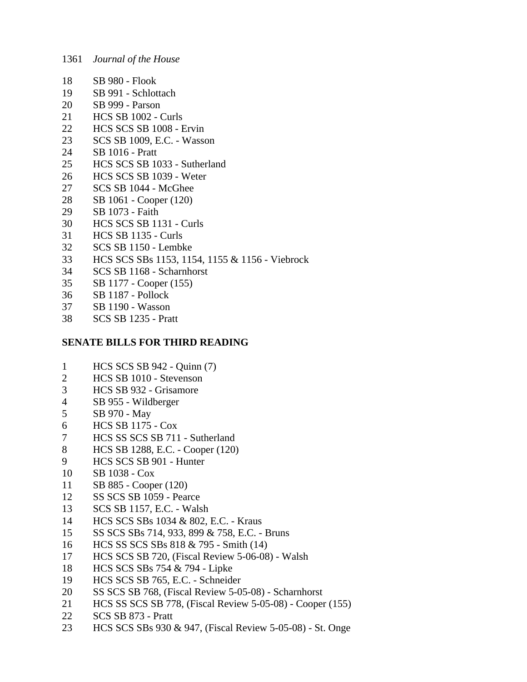- 18 SB 980 Flook
- 19 SB 991 Schlottach
- 20 SB 999 Parson
- 21 HCS SB 1002 Curls
- 22 HCS SCS SB 1008 Ervin
- 23 SCS SB 1009, E.C. Wasson
- 24 SB 1016 Pratt
- 25 HCS SCS SB 1033 Sutherland
- 26 HCS SCS SB 1039 Weter
- 27 SCS SB 1044 McGhee
- 28 SB 1061 Cooper (120)
- 29 SB 1073 Faith
- 30 HCS SCS SB 1131 Curls
- 31 HCS SB 1135 Curls
- 32 SCS SB 1150 Lembke
- 33 HCS SCS SBs 1153, 1154, 1155 & 1156 Viebrock
- 34 SCS SB 1168 Scharnhorst
- 35 SB 1177 Cooper (155)
- 36 SB 1187 Pollock
- 37 SB 1190 Wasson
- 38 SCS SB 1235 Pratt

## **SENATE BILLS FOR THIRD READING**

- 1 HCS SCS SB 942 Quinn (7)
- 2 HCS SB 1010 Stevenson
- 3 HCS SB 932 Grisamore
- 4 SB 955 Wildberger
- 5 SB 970 May
- 6 HCS SB 1175 Cox
- 7 HCS SS SCS SB 711 Sutherland
- 8 HCS SB 1288, E.C. Cooper (120)
- 9 HCS SCS SB 901 Hunter
- 10 SB 1038 Cox
- 11 SB 885 Cooper (120)
- 12 SS SCS SB 1059 Pearce
- 13 SCS SB 1157, E.C. Walsh
- 14 HCS SCS SBs 1034 & 802, E.C. Kraus
- 15 SS SCS SBs 714, 933, 899 & 758, E.C. Bruns
- 16 HCS SS SCS SBs 818 & 795 Smith (14)
- 17 HCS SCS SB 720, (Fiscal Review 5-06-08) Walsh
- 18 HCS SCS SBs 754 & 794 Lipke
- 19 HCS SCS SB 765, E.C. Schneider
- 20 SS SCS SB 768, (Fiscal Review 5-05-08) Scharnhorst
- 21 HCS SS SCS SB 778, (Fiscal Review 5-05-08) Cooper (155)
- 22 SCS SB 873 Pratt
- 23 HCS SCS SBs 930 & 947, (Fiscal Review 5-05-08) St. Onge